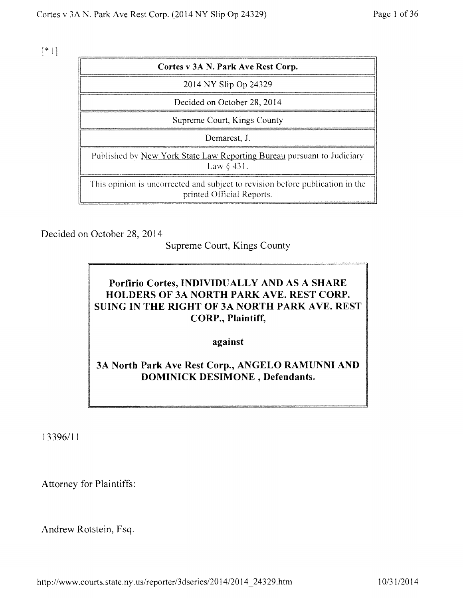$[*1]$ 

| Cortes v 3A N. Park Ave Rest Corp.                                                                         |
|------------------------------------------------------------------------------------------------------------|
| 2014 NY Slip Op 24329                                                                                      |
| Decided on October 28, 2014                                                                                |
| Supreme Court, Kings County                                                                                |
| Demarest, J.                                                                                               |
| Published by New York State Law Reporting Bureau pursuant to Judiciary<br>Law $\S$ 431.                    |
| This opinion is uncorrected and subject to revision before publication in the<br>printed Official Reports. |

Decided on October 28, 2014

Supreme Court, Kings County

# Porfirio Cortes, INDIVIDUALLY AND AS A SHARE HOLDERS OF 3A NORTH PARK AVE. REST CORP. SUING IN THE RIGHT OF 3A NORTH PARK AVE. REST CORP., Plaintiff,

against

3A North Park Ave Rest Corp., ANGELO RAMUNNI AND DOMINICK DESIMONE , Defendants.

13396/11

Attorney for Plaintiffs:

Andrew Rotstein, Esq.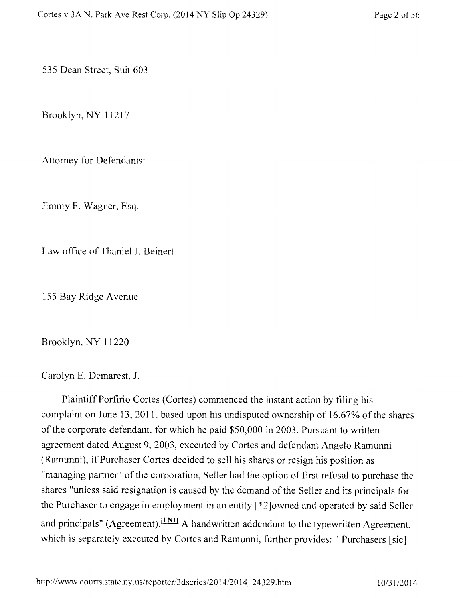535 Dean Street, Suit 603

Brooklyn, NY 11217

Attorney for Defendants:

Jimmy F. Wagner, Esq.

Law office of Thaniel J. Beinert

155 Bay Ridge Avenue

Brooklyn, NY 11220

Carolyn E. Demarest, J.

Plaintiff Porfirio Cortes (Cortes) commenced the instant action by filing his complaint on June 13, 2011, based upon his undisputed ownership of 16.67% of the shares of the corporate defendant, for which he paid \$50,000 in 2003. Pursuant to written agreement dated August 9, 2003, executed by Cortes and defendant Angelo Ramunni (Ramunni), if Purchaser Cortes decided to sell his shares or resign his position as "managing partner" of the corporation, Seller had the option of first refusal to purchase the shares "unless said resignation is caused by the demand of the Seller and its principals for the Purchaser to engage in employment in an entity  $\lceil *2 \rceil$  owned and operated by said Seller and principals" (Agreement).<sup>[FN1]</sup> A handwritten addendum to the typewritten Agreement, which is separately executed by Cortes and Ramunni, further provides: " Purchasers [sic}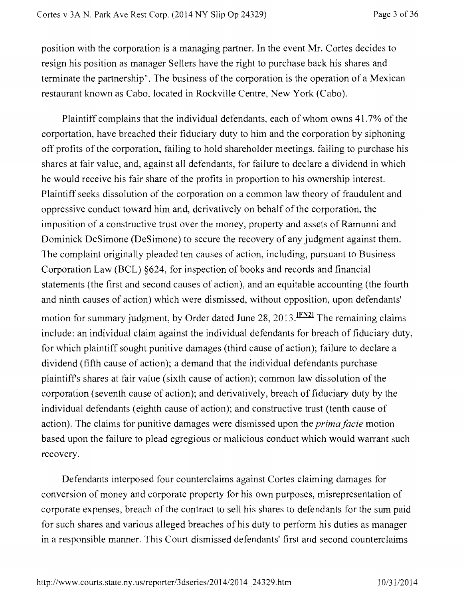position with the corporation is a managing partner. In the event Mr. Cortes decides to resign his position as manager Sellers have the right to purchase back his shares and terminate the partnership". The business of the corporation is the operation of a Mexican restaurant known as Cabo, located in Rockville Centre, New York (Cabo).

Plaintiff complains that the individual defendants, each of whom owns 41.7% of the corportation, have breached their fiduciary duty to him and the corporation by siphoning off profits of the corporation, failing to hold shareholder meetings, failing to purchase his shares at fair value, and, against all defendants, for failure to declare a dividend in which he would receive his fair share of the profits in proportion to his ownership interest. Plaintiff seeks dissolution of the corporation on a common law theory of fraudulent and oppressive conduct toward him and, derivatively on behalf of the corporation, the imposition of a constructive trust over the money, property and assets of Ramunni and Dominick DeSimone (DeSimone) to secure the recovery of any judgment against them. The complaint originally pleaded ten causes of action, including, pursuant to Business Corporation Law (BCL) §624, for inspection of books and records and financial statements (the first and second causes of action), and an equitable accounting (the fourth and ninth causes of action) which were dismissed, without opposition, upon defendants' motion for summary judgment, by Order dated June 28, 2013.  $[FN2]$  The remaining claims include: an individual claim against the individual defendants for breach of fiduciary duty, for which plaintiff sought punitive damages (third cause of action); failure to declare a dividend (fifth cause of action); a demand that the individual defendants purchase plaintiffs shares at fair value (sixth cause of action); common law dissolution of the corporation (seventh cause of action); and derivatively, breach of fiduciary duty by the individual defendants (eighth cause of action); and constructive trust (tenth cause of action). The claims for punitive damages were dismissed upon the *prima facie* motion based upon the failure to plead egregious or malicious conduct which would warrant such recovery.

Defendants interposed four counterclaims against Cortes claiming damages for conversion of money and corporate property for his own purposes, misrepresentation of corporate expenses, breach of the contract to sell his shares to defendants for the sum paid for such shares and various alleged breaches of his duty to perform his duties as manager in a responsible manner. This Court dismissed defendants' first and second counterclaims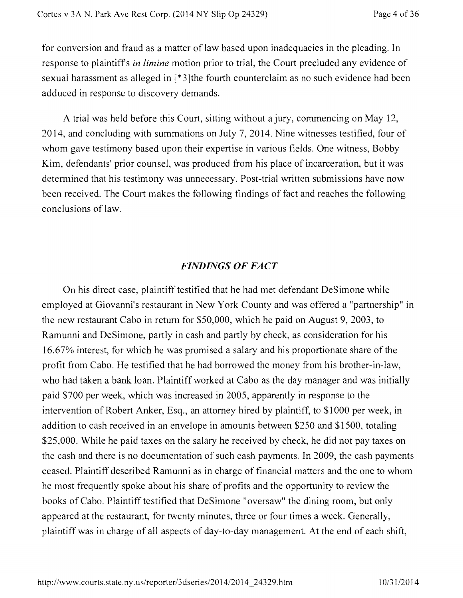for conversion and fraud as a matter of law based upon inadequacies in the pleading. In response to plaintiffs *in limine* motion prior to trial, the Court precluded any evidence of sexual harassment as alleged in [\*3]the fourth counterclaim as no such evidence had been adduced in response to discovery demands.

A trial was held before this Court, sitting without a jury, commencing on May 12, 2014, and concluding with summations on July 7, 2014. Nine witnesses testified, four of whom gave testimony based upon their expertise in various fields. One witness, Bobby Kim, defendants' prior counsel, was produced from his place of incarceration, but it was determined that his testimony was unnecessary. Post-trial written submissions have now been received. The Court makes the following findings of fact and reaches the following conclusions of law.

## *FINDINGS OF FACT*

On his direct case, plaintiff testified that he had met defendant DeSimone while employed at Giovanni's restaurant in New York County and was offered a "partnership" in the new restaurant Cabo in return for \$50,000, which he paid on August 9, 2003, to Ramurmi and DeSimone, partly in cash and partly by check, as consideration for his 16.67% interest, for which he was promised a salary and his proportionate share of the profit from Cabo. He testified that he had borrowed the money from his brother-in-law, who had taken a bank loan. Plaintiff worked at Cabo as the day manager and was initially paid \$700 per week, which was increased in 2005, apparently in response to the intervention of Robert Anker, Esq., an attorney hired by plaintiff, to \$1000 per week, in addition to cash received in an envelope in amounts between \$250 and \$1500, totaling \$25,000. While he paid taxes on the salary he received by check, he did not pay taxes on the cash and there is no documentation of such cash payments. In 2009, the cash payments ceased. Plaintiff described Ramunni as in charge of financial matters and the one to whom he most frequently spoke about his share of profits and the opportunity to review the books of Cabo. Plaintiff testified that DeSimone "oversaw" the dining room, but only appeared at the restaurant, for twenty minutes, three or four times a week. Generally, plaintiff was in charge of all aspects of day-to-day management. At the end of each shift,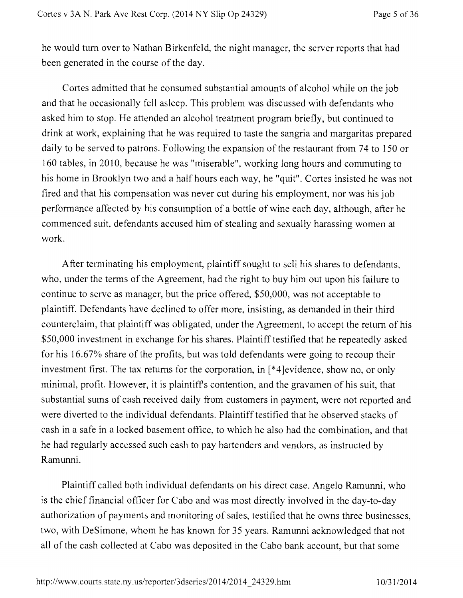he would turn over to Nathan Birkenfeld, the night manager, the server reports that had been generated in the course of the day.

Cortes admitted that he consumed substantial amounts of alcohol while on the job and that he occasionally fell asleep. This problem was discussed with defendants who asked him to stop. He attended an alcohol treatment program briefly, but continued to drink at work, explaining that he was required to taste the sangria and margaritas prepared daily to be served to patrons. Following the expansion of the restaurant from 74 to 150 or 160 tables, in 2010, because he was "miserable", working long hours and commuting to his home in Brooklyn two and a half hours each way, he "quit". Cortes insisted he was not fired and that his compensation was never cut during his employment, nor was his job performance affected by his consumption of a bottle of wine each day, although, after he commenced suit, defendants accused him of stealing and sexually harassing women at work.

After terminating his employment, plaintiff sought to sell his shares to defendants, who, under the terms of the Agreement, had the right to buy him out upon his failure to continue to serve as manager, but the price offered, \$50,000, was not acceptable to plaintiff. Defendants have declined to offer more, insisting, as demanded in their third counterclaim, that plaintiff was obligated, under the Agreement, to accept the return of his \$50,000 investment in exchange for his shares. Plaintiff testified that he repeatedly asked for his 16.67% share of the profits, but was told defendants were going to recoup their investment first. The tax returns for the corporation, in [\*4]evidence, show no, or only minimal, profit. However, it is plaintiffs contention, and the gravamen of his suit, that substantial sums of cash received daily from customers in payment, were not reported and were diverted to the individual defendants. Plaintiff testified that he observed stacks of cash in a safe in a locked basement office, to which he also had the combination, and that he had regularly accessed such cash to pay bartenders and vendors, as instructed by Ramunni.

Plaintiff called both individual defendants on his direct case. Angelo Ramunni, who is the chief financial officer for Cabo and was most directly involved in the day-to-day authorization of payments and monitoring of sales, testified that he owns three businesses, two, with DeSimone, whom he has known for 35 years. Ramunni acknowledged that not all of the cash collected at Cabo was deposited in the Cabo bank account, but that some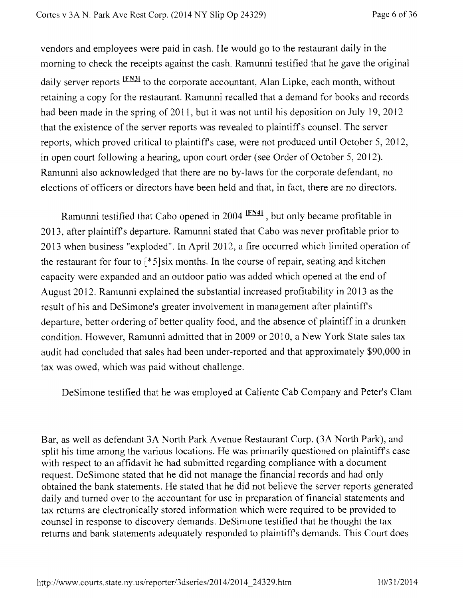vendors and employees were paid in cash. He would go to the restaurant daily in the morning to check the receipts against the cash. Ramunni testified that he gave the original daily server reports <sup>[FN3]</sup> to the corporate accountant, Alan Lipke, each month, without retaining a copy for the restaurant. Ramunni recalled that a demand for books and records had been made in the spring of 2011, but it was not until his deposition on July 19, 2012 that the existence of the server reports was revealed to plaintiffs counsel. The server reports, which proved critical to plaintiffs case, were not produced until October 5, 2012, in open court following a hearing, upon court order (see Order of October 5, 2012). Ramunni also acknowledged that there are no by-laws for the corporate defendant, no elections of officers or directors have been held and that, in fact, there are no directors.

Ramunni testified that Cabo opened in 2004 <sup>IFN41</sup>, but only became profitable in 2013, after plaintiffs departure. Ramunni stated that Cabo was never profitable prior to 2013 when business "exploded". In April 2012, a fire occurred which limited operation of the restaurant for four to  $[*/]$ six months. In the course of repair, seating and kitchen capacity were expanded and an outdoor patio was added which opened at the end of August 2012. Ramunni explained the substantial increased profitability in 2013 as the result of his and DeSimone's greater involvement in management after plaintiffs departure, better ordering of better quality food, and the absence of plaintiff in a drunken condition. However, Ramunni admitted that in 2009 or 2010, a New York State sales tax audit had concluded that sales had been under-reported and that approximately \$90,000 in tax was owed, which was paid without challenge.

DeSimone testified that he was employed at Caliente Cab Company and Peter's Clam

Bar, as well as defendant 3A North Park Avenue Restaurant Corp. (3A North Park), and split his time among the various locations. He was primarily questioned on plaintiffs case with respect to an affidavit he had submitted regarding compliance with a document request. DeSimone stated that he did not manage the financial records and had only obtained the bank statements. He stated that he did not believe the server reports generated daily and turned over to the accountant for use in preparation of financial statements and tax returns are electronically stored information which were required to be provided to counsel in response to discovery demands. DeSimone testified that he thought the tax returns and bank statements adequately responded to plaintiffs demands. This Court does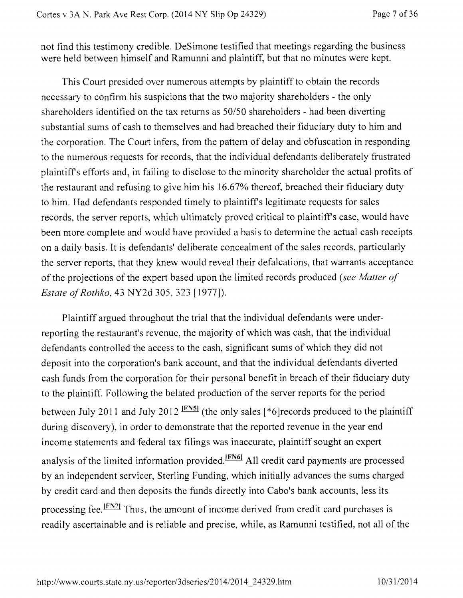not find this testimony credible. DeSimone testified that meetings regarding the business were held between himself and Ramunni and plaintiff, but that no minutes were kept.

This Court presided over numerous attempts by plaintiff to obtain the records necessary to confirm his suspicions that the two majority shareholders - the only shareholders identified on the tax returns as 50/50 shareholders - had been diverting substantial sums of cash to themselves and had breached their fiduciary duty to him and the corporation. The Court infers, from the pattern of delay and obfuscation in responding to the numerous requests for records, that the individual defendants deliberately frustrated plaintiffs efforts and, in failing to disclose to the minority shareholder the actual profits of the restaurant and refusing to give him his 16.67% thereof, breached their fiduciary duty to him. Had defendants responded timely to plaintiffs legitimate requests for sales records, the server reports, which ultimately proved critical to plaintiffs case, would have been more complete and would have provided a basis to determine the actual cash receipts on a daily basis. It is defendants' deliberate concealment of the sales records, particularly the server reports, that they knew would reveal their defalcations, that warrants acceptance of the projections of the expert based upon the limited records produced *(see Matter of Estate of Rothko,* 43 NY2d 305, 323 [1977]).

Plaintiff argued throughout the trial that the individual defendants were underreporting the restaurant's revenue, the majority of which was cash, that the individual defendants controlled the access to the cash, significant sums of which they did not deposit into the corporation's bank account, and that the individual defendants diverted cash funds from the corporation for their personal benefit in breach of their fiduciary duty to the plaintiff. Following the belated production of the server reports for the period between July 2011 and July 2012  $\frac{[FN5]}{[TN5]}$  (the only sales [\*6]records produced to the plaintiff during discovery), in order to demonstrate that the reported revenue in the year end income statements and federal tax filings was inaccurate, plaintiff sought an expert analysis of the limited information provided. **IFN61** All credit card payments are processed by an independent servicer, Sterling Funding, which initially advances the sums charged by credit card and then deposits the funds directly into Cabo's bank accounts, less its processing fee. IFN7I Thus, the amount of income derived from credit card purchases is readily ascertainable and is reliable and precise, while, as Ramunni testified, not all of the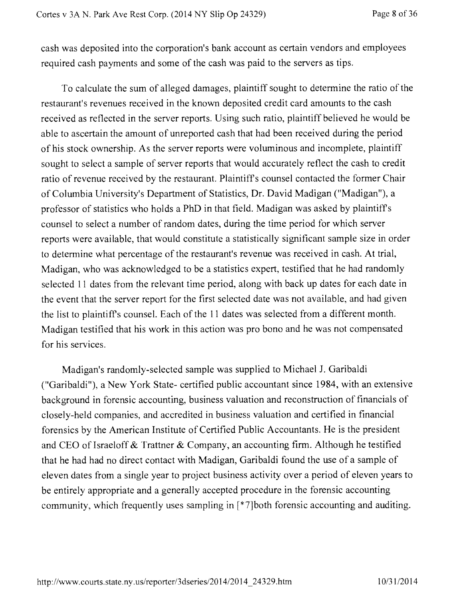cash was deposited into the corporation's bank account as certain vendors and employees required cash payments and some of the cash was paid to the servers as tips.

To calculate the sum of alleged damages, plaintiff sought to determine the ratio of the restaurant's revenues received in the known deposited credit card amounts to the cash received as reflected in the server reports. Using such ratio, plaintiff believed he would be able to ascertain the amount of unreported cash that had been received during the period of his stock ownership. As the server reports were voluminous and incomplete, plaintiff sought to select a sample of server reports that would accurately reflect the cash to credit ratio of revenue received by the restaurant. Plaintiffs counsel contacted the former Chair of Columbia University's Department of Statistics, Dr. David Madigan ("Madigan"), a professor of statistics who holds a PhD in that field. Madigan was asked by plaintiffs counsel to select a number of random dates, during the time period for which server reports were available, that would constitute a statistically significant sample size in order to determine what percentage of the restaurant's revenue was received in cash. At trial, Madigan, who was acknowledged to be a statistics expert, testified that he had randomly selected 11 dates from the relevant time period, along with back up dates for each date in the event that the server report for the first selected date was not available, and had given the list to plaintiffs counsel. Each of the 11 dates was selected from a different month. Madigan testified that his work in this action was pro bono and he was not compensated for his services.

Madigan's randomly-selected sample was supplied to Michael J. Garibaldi ("Garibaldi"), a New York State- certified public accountant since 1984, with an extensive background in forensic accounting, business valuation and reconstruction of financials of closely-held companies, and accredited in business valuation and certified in financial forensics by the American Institute of Certified Public Accountants. He is the president and CEO of Israeloff & Trattner & Company, an accounting firm. Although he testified that he had had no direct contact with Madigan, Garibaldi found the use of a sample of eleven dates from a single year to project business activity over a period of eleven years to be entirely appropriate and a generally accepted procedure in the forensic accounting community, which frequently uses sampling in {\*7lboth forensic accounting and auditing.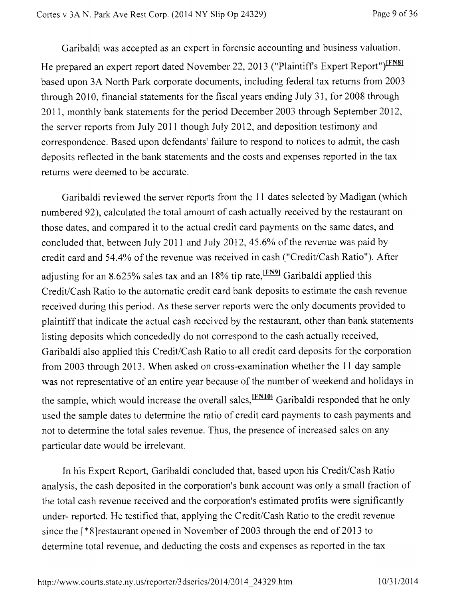Garibaldi was accepted as an expert in forensic accounting and business valuation. He prepared an expert report dated November 22, 2013 ("Plaintiff's Expert Report")<sup>IFN81</sup> based upon 3A North Park corporate documents, including federal tax returns from 2003 through 2010, financial statements for the fiscal years ending July 31, for 2008 through 2011, monthly bank statements for the period December 2003 through September 2012, the server reports from July 2011 though July 2012, and deposition testimony and correspondence. Based upon defendants' failure to respond to notices to admit, the cash deposits reflected in the bank statements and the costs and expenses reported in the tax returns were deemed to be accurate.

Garibaldi reviewed the server reports from the 11 dates selected by Madigan (which numbered 92), calculated the total amount of cash actually received by the restaurant on those dates, and compared it to the actual credit card payments on the same dates, and concluded that, between July 2011 and July 2012, 45.6% of the revenue was paid by credit card and 54.4% of the revenue was received in cash ("Credit/Cash Ratio"). After adjusting for an 8.625% sales tax and an 18% tip rate,  $\frac{[FN9]}{[FN9]}$  Garibaldi applied this Credit/Cash Ratio to the automatic credit card bank deposits to estimate the cash revenue received during this period. As these server reports were the only documents provided to plaintiff that indicate the actual cash received by the restaurant, other than bank statements listing deposits which concededly do not correspond to the cash actually received, Garibaldi also applied this Credit/Cash Ratio to all credit card deposits for the corporation from 2003 through 2013. When asked on cross-examination whether the 11 day sample was not representative of an entire year because of the number of weekend and holidays in the sample, which would increase the overall sales, <sup>[FN10]</sup> Garibaldi responded that he only used the sample dates to determine the ratio of credit card payments to cash payments and not to determine the total sales revenue. Thus, the presence of increased sales on any particular date would be irrelevant.

In his Expert Report, Garibaldi concluded that, based upon his Credit/Cash Ratio analysis, the cash deposited in the corporation's bank account was only a small fraction of the total cash revenue received and the corporation's estimated profits were significantly under- reported. He testified that, applying the Credit/Cash Ratio to the credit revenue since the [\*8]restaurant opened in November of 2003 through the end of 2013 to determine total revenue, and deducting the costs and expenses as reported in the tax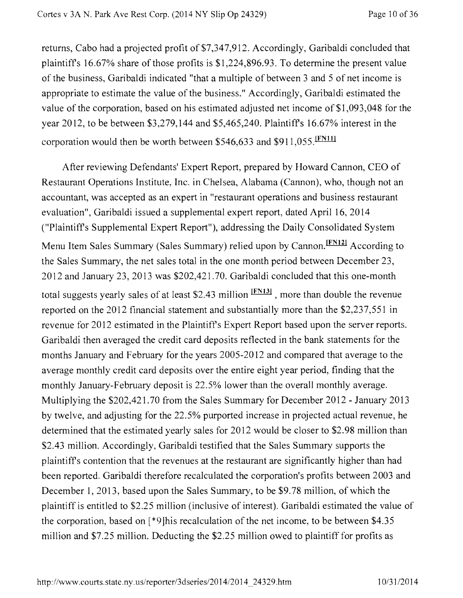returns, Cabo had a projected profit of \$7,347,912. Accordingly, Garibaldi concluded that plaintiffs 16.67% share of those profits is \$1,224,896.93. To determine the present value of the business, Garibaldi indicated "that a multiple of between 3 and 5 of net income is appropriate to estimate the value of the business." Accordingly, Garibaldi estimated the value of the corporation, based on his estimated adjusted net income of \$1,093,048 for the year 2012, to be between \$3,279,144 and \$5,465,240. Plaintiffs 16.67% interest in the corporation would then be worth between \$546,633 and \$911,055. [FN11]

After reviewing Defendants' Expert Report, prepared by Howard Cannon, CEO of Restaurant Operations Institute, Inc. in Chelsea, Alabama (Cannon), who, though not an accountant, was accepted as an expert in "restaurant operations and business restaurant evaluation", Garibaldi issued a supplemental expert report, dated April 16, 2014 ("Plaintiffs Supplemental Expert Report"), addressing the Daily Consolidated System Menu Item Sales Summary (Sales Summary) relied upon by Cannon. IFN121 According to the Sales Summary, the net sales total in the one month period between December 23, 2012 and January 23, 2013 was \$202,421.70. Garibaldi concluded that this one-month total suggests yearly sales of at least \$2.43 million  $\frac{[FN13]}{[FN13]}$ , more than double the revenue reported on the 2012 financial statement and substantially more than the \$2,237,551 in revenue for 2012 estimated in the Plaintiffs Expert Report based upon the server reports. Garibaldi then averaged the credit card deposits reflected in the bank statements for the months January and February for the years 2005-2012 and compared that average to the average monthly credit card deposits over the entire eight year period, finding that the monthly January-February deposit is 22.5% lower than the overall monthly average. Multiplying the \$202,421.70 from the Sales Summary for December 2012 - January 2013 by twelve, and adjusting for the 22.5% purported increase in projected actual revenue, he determined that the estimated yearly sales for 2012 would be closer to \$2.98 million than \$2.43 million. Accordingly, Garibaldi testified that the Sales Summary supports the plaintiffs contention that the revenues at the restaurant are significantly higher than had been reported. Garibaldi therefore recalculated the corporation's profits between 2003 and December 1, 2013, based upon the Sales Summary, to be \$9.78 million, of which the plaintiff is entitled to \$2.25 million (inclusive of interest). Garibaldi estimated the value of the corporation, based on [\*9]his recalculation of the net income, to be between \$4.35 million and \$7.25 million. Deducting the \$2.25 million owed to plaintiff for profits as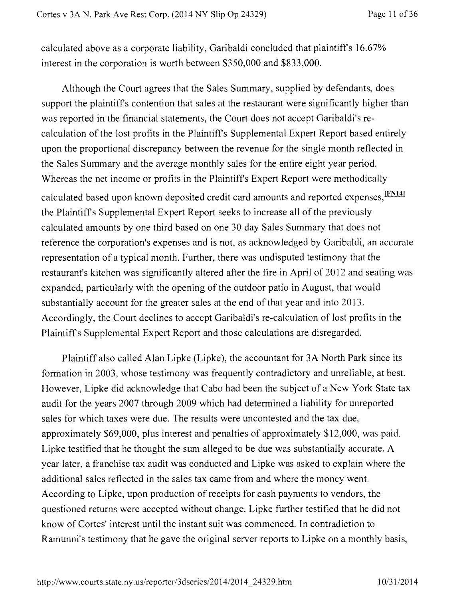calculated above as a corporate liability, Garibaldi concluded that plaintiff's 16.67% interest in the corporation is worth between \$350,000 and \$833,000.

Although the Court agrees that the Sales Summary, supplied by defendants, does support the plaintiff's contention that sales at the restaurant were significantly higher than was reported in the financial statements, the Court does not accept Garibaldi's recalculation of the lost profits in the Plaintiffs Supplemental Expert Report based entirely upon the proportional discrepancy between the revenue for the single month reflected in the Sales Summary and the average monthly sales for the entire eight year period. Whereas the net income or profits in the Plaintiff's Expert Report were methodically calculated based upon known deposited credit card amounts and reported expenses, IFN141 the Plaintiffs Supplemental Expert Report seeks to increase all of the previously calculated amounts by one third based on one 30 day Sales Summary that does not reference the corporation's expenses and is not, as acknowledged by Garibaldi, an accurate representation of a typical month. Further, there was undisputed testimony that the restaurant's kitchen was significantly altered after the fire in April of 2012 and seating was expanded, particularly with the opening of the outdoor patio in August, that would substantially account for the greater sales at the end of that year and into 2013. Accordingly, the Court declines to accept Garibaldi's re-calculation of lost profits in the Plaintiff s Supplemental Expert Report and those calculations are disregarded.

Plaintiff also called Alan Lipke (Lipke), the accountant for 3A North Park since its formation in 2003, whose testimony was frequently contradictory and unreliable, at best. However, Lipke did acknowledge that Cabo had been the subject of a New York State tax audit for the years 2007 through 2009 which had determined a liability for unreported sales for which taxes were due. The results were uncontested and the tax due, approximately \$69,000, plus interest and penalties of approximately \$12,000, was paid. Lipke testified that he thought the sum alleged to be due was substantially accurate. A year later, a franchise tax audit was conducted and Lipke was asked to explain where the additional sales reflected in the sales tax came from and where the money went. According to Lipke, upon production of receipts for cash payments to vendors, the questioned returns were accepted without change. Lipke further testified that he did not know of Cortes' interest until the instant suit was commenced. In contradiction to Ramurmi's testimony that he gave the original server reports to Lipke on a monthly basis,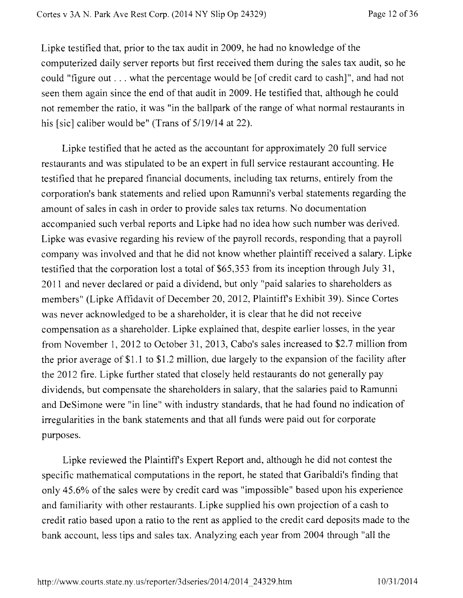Lipke testified that, prior to the tax audit in 2009, he had no knowledge of the computerized daily server reports but first received them during the sales tax audit, so he could "figure out  $\dots$  what the percentage would be [of credit card to cash]", and had not seen them again since the end of that audit in 2009. He testified that, although he could not remember the ratio, it was "in the ballpark of the range of what normal restaurants in his [sic] caliber would be" (Trans of 5/19/14 at 22).

Lipke testified that he acted as the accountant for approximately 20 full service restaurants and was stipulated to be an expert in full service restaurant accounting. He testified that he prepared financial documents, including tax returns, entirely from the corporation's bank statements and relied upon Ramunni's verbal statements regarding the amount of sales in cash in order to provide sales tax returns. No documentation accompanied such verbal reports and Lipke had no idea how such number was derived. Lipke was evasive regarding his review of the payroll records, responding that a payroll company was involved and that he did not know whether plaintiff received a salary. Lipke testified that the corporation lost a total of \$65,353 from its inception through July 31, 2011 and never declared or paid a dividend, but only "paid salaries to shareholders as members" (Lipke Affidavit of December 20, 2012, Plaintiffs Exhibit 39). Since Cortes was never acknowledged to be a shareholder, it is clear that he did not receive compensation as a shareholder. Lipke explained that, despite earlier losses, in the year from November 1, 2012 to October 31, 2013, Cabo's sales increased to \$2.7 million from the prior average of \$1.1 to \$1.2 million, due largely to the expansion of the facility after the 2012 fire. Lipke further stated that closely held restaurants do not generally pay dividends, but compensate the shareholders in salary, that the salaries paid to Ramunni and DeSimone were "in line" with industry standards, that he had found no indication of irregularities in the bank statements and that all funds were paid out for corporate purposes.

Lipke reviewed the Plaintiffs Expert Report and, although he did not contest the specific mathematical computations in the report, he stated that Garibaldi's finding that only 45.6% of the sales were by credit card was "impossible" based upon his experience and familiarity with other restaurants. Lipke supplied his own projection of a cash to credit ratio based upon a ratio to the rent as applied to the credit card deposits made to the bank account, less tips and sales tax. Analyzing each year from 2004 through "all the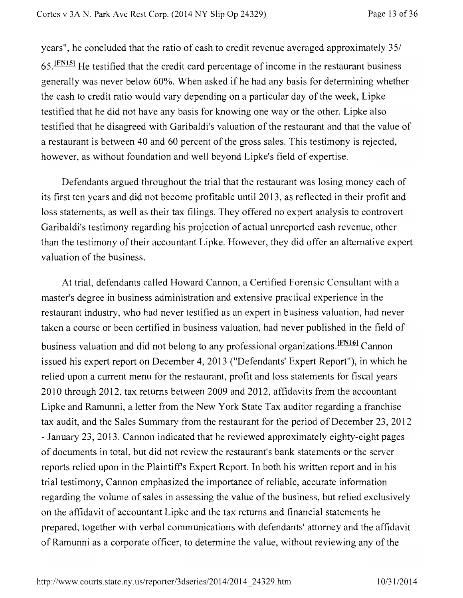years", he concluded that the ratio of cash to credit revenue averaged approximately 35/ 65.1FNIsi He testified that the credit card percentage of income in the restaurant business generally was never below 60%. When asked if he had any basis for determining whether the cash to credit ratio would vary depending on a particular day of the week, Lipke testified that he did not have any basis for knowing one way or the other. Lipke also testified that he disagreed with Garibaldi's valuation of the restaurant and that the value of a restaurant is between 40 and 60 percent of the gross sales. This testimony is rejected, however, as without foundation and well beyond Lipke's field of expertise.

Defendants argued throughout the trial that the restaurant was losing money each of its first ten years and did not become profitable until 2013, as reflected in their profit and loss statements, as well as their tax filings. They offered no expert analysis to controvert Garibaldi's testimony regarding his projection of actual unreported cash revenue, other than the testimony of their accountant Lipke. However, they did offer an alternative expert valuation of the business.

At trial, defendants called Howard Cannon, a Certified Forensic Consultant with a master's degree in business administration and extensive practical experience in the restaurant industry, who had never testified as an expert in business valuation, had never taken a course or been certified in business valuation, had never published in the field of business valuation and did not belong to any professional organizations. **IFN161** Cannon issued his expert report on December 4, 2013 ("Defendants' Expert Report"), in which he relied upon a current menu for the restaurant, profit and loss statements for fiscal years 2010 through 2012, tax returns between 2009 and 2012, affidavits from the accountant Lipke and Ramunni, a letter from the New York State Tax auditor regarding a franchise tax audit, and the Sales Summary from the restaurant for the period of December 23, 2012 - January 23, 2013. Cannon indicated that he reviewed approximately eighty-eight pages of documents in total, but did not review the restaurant's bank statements or the server reports relied upon in the Plaintiffs Expert Report. In both his written report and in his trial testimony, Cannon emphasized the importance of reliable, accurate information regarding the volume of sales in assessing the value of the business, but relied exclusively on the affidavit of accountant Lipke and the tax returns and financial statements he prepared, together with verbal communications with defendants' attorney and the affidavit of Ramunni as a corporate officer, to determine the value, without reviewing any of the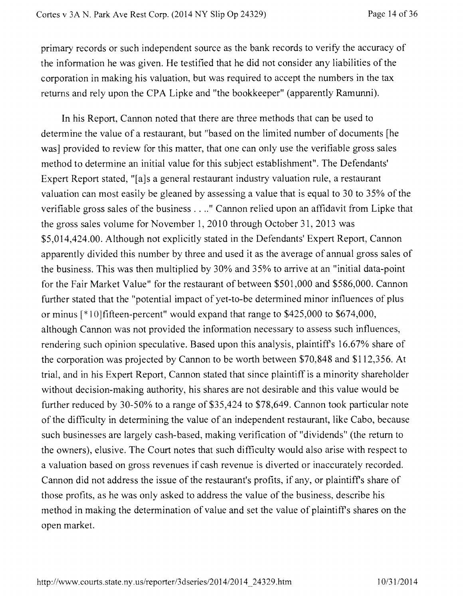primary records or such independent source as the bank records to verify the accuracy of the information he was given. He testified that he did not consider any liabilities of the corporation in making his valuation, but was required to accept the numbers in the tax returns and rely upon the CPA Lipke and "the bookkeeper" (apparently Ramunni).

In his Report, Cannon noted that there are three methods that can be used to determine the value of a restaurant, but "based on the limited number of documents [he was] provided to review for this matter, that one can only use the verifiable gross sales method to determine an initial value for this subject establishment". The Defendants' Expert Report stated, "[a]s a general restaurant industry valuation rule, a restaurant valuation can most easily be gleaned by assessing a value that is equal to 30 to 35% of the verifiable gross sales of the business . . .." Cannon relied upon an affidavit from Lipke that the gross sales volume for November 1, 2010 through October 31, 2013 was \$5,014,424.00. Although not explicitly stated in the Defendants' Expert Report, Cannon apparently divided this number by three and used it as the average of annual gross sales of the business. This was then multiplied by 30% and 35% to arrive at an "initial data-point for the Fair Market Value" for the restaurant of between \$501,000 and \$586,000. Cannon further stated that the "potential impact of yet-to-be determined minor influences of plus or minus [\* I 0]fifteen-percent" would expand that range to \$425,000 to \$674,000, although Cannon was not provided the information necessary to assess such influences, rendering such opinion speculative. Based upon this analysis, plaintiffs 16.67% share of the corporation was projected by Cannon to be worth between \$70,848 and \$112,356. At trial, and in his Expert Report, Cannon stated that since plaintiff is a minority shareholder without decision-making authority, his shares are not desirable and this value would be further reduced by 30-50% to a range of \$35,424 to \$78,649. Cannon took particular note of the difficulty in determining the value of an independent restaurant, like Cabo, because such businesses are largely cash-based, making verification of "dividends" (the return to the owners), elusive. The Court notes that such difficulty would also arise with respect to a valuation based on gross revenues if cash revenue is diverted or inaccurately recorded. Cannon did not address the issue of the restaurant's profits, if any, or plaintiffs share of those profits, as he was only asked to address the value of the business, describe his method in making the determination of value and set the value of plaintiffs shares on the open market.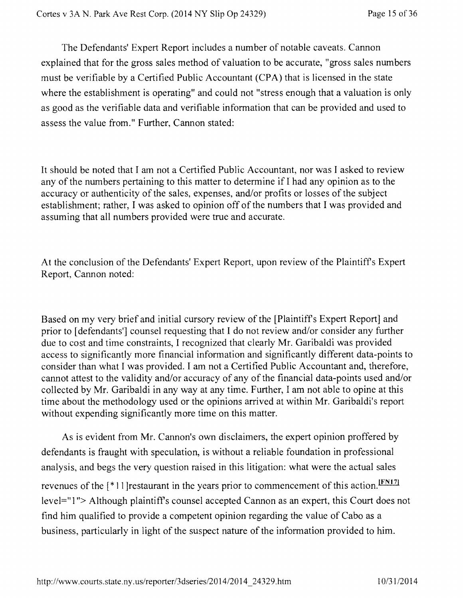The Defendants' Expert Report includes a number of notable caveats. Cannon explained that for the gross sales method of valuation to be accurate, "gross sales numbers must be verifiable by a Certified Public Accountant (CPA) that is licensed in the state where the establishment is operating" and could not "stress enough that a valuation is only as good as the verifiable data and verifiable information that can be provided and used to assess the value from." Further, Cannon stated:

It should be noted that I am not a Certified Public Accountant, nor was I asked to review any of the numbers pertaining to this matter to determine if I had any opinion as to the accuracy or authenticity of the sales, expenses, and/or profits or losses of the subject establishment; rather, I was asked to opinion off of the numbers that I was provided and assuming that all numbers provided were true and accurate.

At the conclusion of the Defendants' Expert Report, upon review of the Plaintiffs Expert Report, Cannon noted:

Based on my very brief and initial cursory review of the [Plaintiffs Expert Report] and prior to [defendants'] counsel requesting that I do not review and/or consider any further due to cost and time constraints, I recognized that clearly Mr. Garibaldi was provided access to significantly more financial information and significantly different data-points to consider than what I was provided. I am not a Certified Public Accountant and, therefore, cannot attest to the validity and/or accuracy of any of the financial data-points used and/or collected by Mr. Garibaldi in any way at any time. Further, I am not able to opine at this time about the methodology used or the opinions arrived at within Mr. Garibaldi's report without expending significantly more time on this matter.

As is evident from Mr. Cannon's own disclaimers, the expert opinion proffered by defendants is fraught with speculation, is without a reliable foundation in professional analysis, and begs the very question raised in this litigation: what were the actual sales revenues of the [\*11] restaurant in the years prior to commencement of this action. IFN17] level="1"> Although plaintiff's counsel accepted Cannon as an expert, this Court does not find him qualified to provide a competent opinion regarding the value of Cabo as a business, particularly in light of the suspect nature of the information provided to him.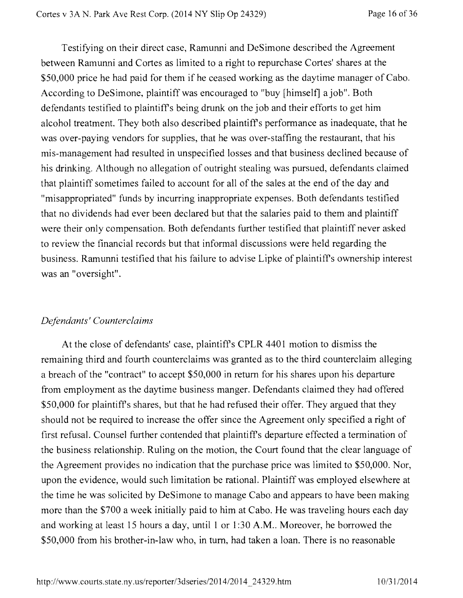Testifying on their direct case, Ramunni and DeSimone described the Agreement between Ramunni and Cortes as limited to a right to repurchase Cortes' shares at the \$50,000 price he had paid for them if he ceased working as the daytime manager of Cabo. According to DeSimone, plaintiff was encouraged to "buy [himself] a job". Both defendants testified to plaintiffs being drunk on the job and their efforts to get him alcohol treatment. They both also described plaintiffs performance as inadequate, that he was over-paying vendors for supplies, that he was over-staffing the restaurant, that his mis-management had resulted in unspecified losses and that business declined because of his drinking. Although no allegation of outright stealing was pursued, defendants claimed that plaintiff sometimes failed to account for all of the sales at the end of the day and "misappropriated" funds by incurring inappropriate expenses. Both defendants testified that no dividends had ever been declared but that the salaries paid to them and plaintiff were their only compensation. Both defendants further testified that plaintiff never asked to review the financial records but that informal discussions were held regarding the business. Ramunni testified that his failure to advise Lipke of plaintiffs ownership interest was an "oversight".

## *Defendants' Counterclaims*

At the close of defendants' case, plaintiffs CPLR 4401 motion to dismiss the remaining third and fourth counterclaims was granted as to the third counterclaim alleging a breach of the "contract" to accept \$50,000 in return for his shares upon his departure from employment as the daytime business manger. Defendants claimed they had offered \$50,000 for plaintiff's shares, but that he had refused their offer. They argued that they should not be required to increase the offer since the Agreement only specified a right of first refusal. Counsel further contended that plaintiffs departure effected a termination of the business relationship. Ruling on the motion, the Court found that the clear language of the Agreement provides no indication that the purchase price was limited to \$50,000. Nor, upon the evidence, would such limitation be rational. Plaintiff was employed elsewhere at the time he was solicited by DeSimone to manage Cabo and appears to have been making more than the \$700 a week initially paid to him at Cabo. He was traveling hours each day and working at least 15 hours a day, until 1 or 1:30 A.M.. Moreover, he borrowed the \$50,000 from his brother-in-law who, in turn, had taken a loan. There is no reasonable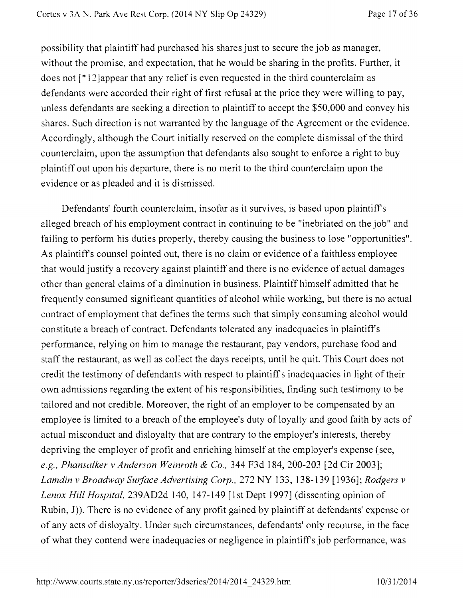possibility that plaintiff had purchased his shares just to secure the job as manager, without the promise, and expectation, that he would be sharing in the profits. Further, it does not  $[*12]$ appear that any relief is even requested in the third counterclaim as defendants were accorded their right of first refusal at the price they were willing to pay, unless defendants are seeking a direction to plaintiff to accept the \$50,000 and convey his shares. Such direction is not warranted by the language of the Agreement or the evidence. Accordingly, although the Court initially reserved on the complete dismissal of the third counterclaim, upon the assumption that defendants also sought to enforce a right to buy plaintiff out upon his departure, there is no merit to the third counterclaim upon the evidence or as pleaded and it is dismissed.

Defendants' fourth counterclaim, insofar as it survives, is based upon plaintiffs alleged breach of his employment contract in continuing to be "inebriated on the job" and failing to perform his duties properly, thereby causing the business to lose "opportunities". As plaintiffs counsel pointed out, there is no claim or evidence of a faithless employee that would justify a recovery against plaintiff and there is no evidence of actual damages other than general claims of a diminution in business. Plaintiff himself admitted that he frequently consumed significant quantities of alcohol while working, but there is no actual contract of employment that defines the terms such that simply consuming alcohol would constitute a breach of contract. Defendants tolerated any inadequacies in plaintiffs performance, relying on him to manage the restaurant, pay vendors, purchase food and staff the restaurant, as well as collect the days receipts, until he quit. This Court does not credit the testimony of defendants with respect to plaintiffs inadequacies in light of their own admissions regarding the extent of his responsibilities, finding such testimony to be tailored and not credible. Moreover, the right of an employer to be compensated by an employee is limited to a breach of the employee's duty of loyalty and good faith by acts of actual misconduct and disloyalty that are contrary to the employer's interests, thereby depriving the employer of profit and enriching himself at the employer's expense (see, *e.g., Phansalker v Anderson Weinroth & Co.,* 344 F3d 184, 200-203 [2d Cir 2003]; *Lamdin v Broadway Surface Advertising Corp.,* 272 NY 133, 138-139 [1936]; *Rodgers v Lenox Hill Hospital,* 239AD2d 140, 147-149 [1st Dept 1997] (dissenting opinion of Rubin,  $J$ ). There is no evidence of any profit gained by plaintiff at defendants' expense or of any acts of disloyalty. Under such circumstances, defendants' only recourse, in the face of what they contend were inadequacies or negligence in plaintiffs job performance, was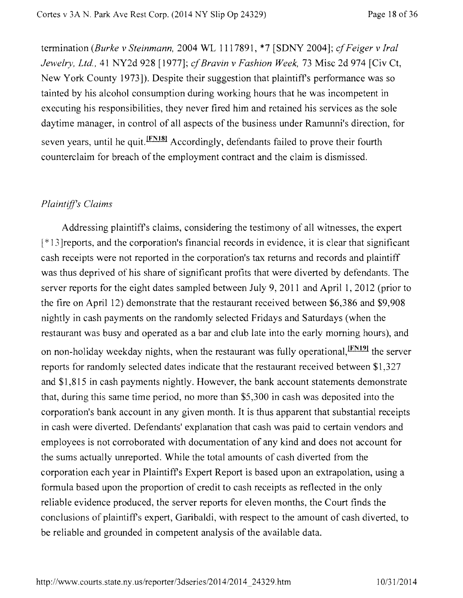termination *(Burke v Steinmann,* 2004 WL 1117891, \*7 [SDNY 2004]; *cf Feiger v hal Jewelry, Ltd.,* 41 NY2d 928 [1977]; *cf Bravin v Fashion Week,* 73 Misc 2d 974 [Civ Ct, New York County 1973]). Despite their suggestion that plaintiffs performance was so tainted by his alcohol consumption during working hours that he was incompetent in executing his responsibilities, they never fired him and retained his services as the sole daytime manager, in control of all aspects of the business under Ramunni's direction, for seven years, until he quit. <sup>[FNI8]</sup> Accordingly, defendants failed to prove their fourth counterclaim for breach of the employment contract and the claim is dismissed.

## *Plaintiffs Claims*

Addressing plaintiffs claims, considering the testimony of all witnesses, the expert [\* I 3]reports, and the corporation's financial records in evidence, it is clear that significant cash receipts were not reported in the corporation's tax returns and records and plaintiff was thus deprived of his share of significant profits that were diverted by defendants. The server reports for the eight dates sampled between July 9, 2011 and April 1, 2012 (prior to the fire on April 12) demonstrate that the restaurant received between \$6,386 and \$9,908 nightly in cash payments on the randomly selected Fridays and Saturdays (when the restaurant was busy and operated as a bar and club late into the early morning hours), and on non-holiday weekday nights, when the restaurant was fully operational, <sup>IFN191</sup> the server reports for randomly selected dates indicate that the restaurant received between \$1,327 and \$1,815 in cash payments nightly. However, the bank account statements demonstrate that, during this same time period, no more than \$5,300 in cash was deposited into the corporation's bank account in any given month. It is thus apparent that substantial receipts in cash were diverted. Defendants' explanation that cash was paid to certain vendors and employees is not corroborated with documentation of any kind and does not account for the sums actually unreported. While the total amounts of cash diverted from the corporation each year in Plaintiffs Expert Report is based upon an extrapolation, using a formula based upon the proportion of credit to cash receipts as reflected in the only reliable evidence produced, the server reports for eleven months, the Court finds the conclusions of plaintiffs expert, Garibaldi, with respect to the amount of cash diverted, to be reliable and grounded in competent analysis of the available data.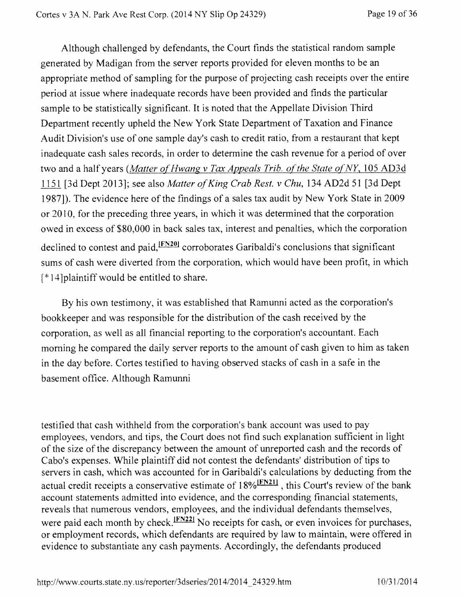Although challenged by defendants, the Court finds the statistical random sample generated by Madigan from the server reports provided for eleven months to be an appropriate method of sampling for the purpose of projecting cash receipts over the entire period at issue where inadequate records have been provided and finds the particular sample to be statistically significant. It is noted that the Appellate Division Third Department recently upheld the New York State Department of Taxation and Finance Audit Division's use of one sample day's cash to credit ratio, from a restaurant that kept inadequate cash sales records, in order to determine the cash revenue for a period of over two and a half years *(Matter of Hwang v Tax Appeals Trib. of the State of NY*, 105 AD3d 1151[3d Dept 2013]; see also *Matter of King Crab Rest. v Chu,* 134 AD2d 51 [3d Dept 1987]). The evidence here of the findings of a sales tax audit by New York State in 2009 or 2010, for the preceding three years, in which it was determined that the corporation owed in excess of \$80,000 in back sales tax, interest and penalties, which the corporation declined to contest and paid, $F_{N20}$  corroborates Garibaldi's conclusions that significant sums of cash were diverted from the corporation, which would have been profit, in which  $[$ \*  $]$ 4]plaintiff would be entitled to share.

By his own testimony, it was established that Ramunni acted as the corporation's bookkeeper and was responsible for the distribution of the cash received by the corporation, as well as all financial reporting to the corporation's accountant. Each morning he compared the daily server reports to the amount of cash given to him as taken in the day before. Cortes testified to having observed stacks of cash in a safe in the basement office. Although Ramunni

testified that cash withheld from the corporation's bank account was used to pay employees, vendors, and tips, the Court does not find such explanation sufficient in light of the size of the discrepancy between the amount of unreported cash and the records of Cabo's expenses. While plaintiff did not contest the defendants' distribution of tips to servers in cash, which was accounted for in Garibaldi's calculations by deducting from the actual credit receipts a conservative estimate of  $18\%$   $\frac{[FN21]}{[FN21]}$ , this Court's review of the bank account statements admitted into evidence, and the corresponding financial statements, reveals that numerous vendors, employees, and the individual defendants themselves, were paid each month by check. $[FN22]$  No receipts for cash, or even invoices for purchases, or employment records, which defendants are required by law to maintain, were offered in evidence to substantiate any cash payments. Accordingly, the defendants produced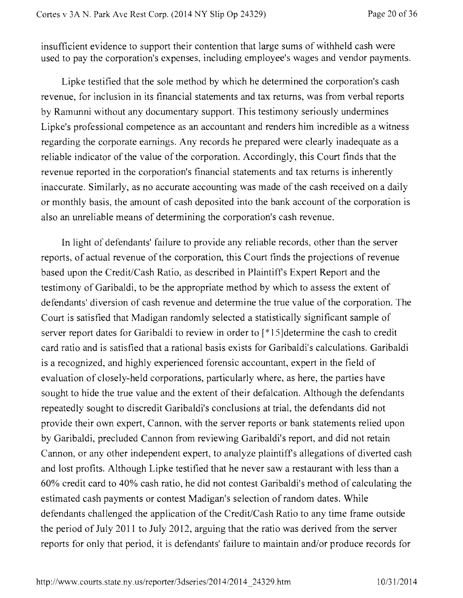insufficient evidence to support their contention that large sums of withheld cash were used to pay the corporation's expenses, including employee's wages and vendor payments.

Lipke testified that the sole method by which he determined the corporation's cash revenue, for inclusion in its financial statements and tax returns, was from verbal reports by Ramunni without any documentary support. This testimony seriously undermines Lipke's professional competence as an accountant and renders him incredible as a witness regarding the corporate earnings. Any records he prepared were clearly inadequate as a reliable indicator of the value of the corporation. Accordingly, this Court finds that the revenue reported in the corporation's financial statements and tax returns is inherently inaccurate. Similarly, as no accurate accounting was made of the cash received on a daily or monthly basis, the amount of cash deposited into the bank account of the corporation is also an unreliable means of determining the corporation's cash revenue.

In light of defendants' failure to provide any reliable records, other than the server reports, of actual revenue of the corporation, this Court finds the projections of revenue based upon the Credit/Cash Ratio, as described in Plaintiffs Expert Report and the testimony of Garibaldi, to be the appropriate method by which to assess the extent of defendants' diversion of cash revenue and determine the true value of the corporation. The Court is satisfied that Madigan randomly selected a statistically significant sample of server report dates for Garibaldi to review in order to [\*15] determine the cash to credit card ratio and is satisfied that a rational basis exists for Garibaldi's calculations. Garibaldi is a recognized, and highly experienced forensic accountant, expert in the field of evaluation of closely-held corporations, particularly where, as here, the parties have sought to hide the true value and the extent of their defalcation. Although the defendants repeatedly sought to discredit Garibaldi's conclusions at trial, the defendants did not provide their own expert, Cannon, with the server reports or bank statements relied upon by Garibaldi, precluded Cannon from reviewing Garibaldi's report, and did not retain Cannon, or any other independent expert, to analyze plaintiffs allegations of diverted cash and lost profits. Although Lipke testified that he never saw a restaurant with less than a 60% credit card to 40% cash ratio, he did not contest Garibaldi's method of calculating the estimated cash payments or contest Madigan's selection of random dates. While defendants challenged the application of the Credit/Cash Ratio to any time frame outside the period of July 2011 to July 2012, arguing that the ratio was derived from the server reports for only that period, it is defendants' failure to maintain and/or produce records for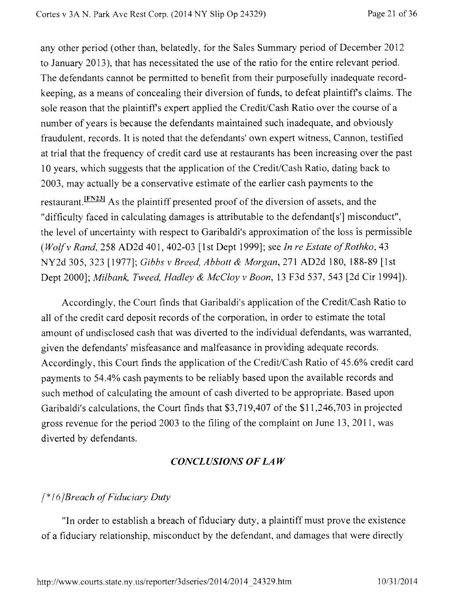any other period (other than, belatedly, for the Sales Summary period of December 2012 to January 2013), that has necessitated the use of the ratio for the entire relevant period. The defendants cannot be permitted to benefit from their purposefully inadequate recordkeeping, as a means of concealing their diversion of funds, to defeat plaintiffs claims. The sole reason that the plaintiff's expert applied the Credit/Cash Ratio over the course of a number of years is because the defendants maintained such inadequate, and obviously fraudulent, records. It is noted that the defendants' own expert witness, Cannon, testified at trial that the frequency of credit card use at restaurants has been increasing over the past 10 years, which suggests that the application of the Credit/Cash Ratio, dating back to 2003, may actually be a conservative estimate of the earlier cash payments to the restaurant. <sup>[FN23]</sup> As the plaintiff presented proof of the diversion of assets, and the "difficulty faced in calculating damages is attributable to the defendant[s'] misconduct", the level of uncertainty with respect to Garibaldi's approximation of the loss is permissible *(Wolf v Rand,* 258 AD2d 401, 402-03 [1st Dept 19991; see *In re Estate of Rothko,* 43 NY2d 305, 323 [1977]; *Gibbs v Breed, Abbott & Morgan,* 271 AD2d 180, 188-89 [1st Dept 20001; *Milbank, Tweed, Hadley & McCloy v Boon,* 13 F3d 537, 543 [2d Cir 1994]).

Accordingly, the Court finds that Garibaldi's application of the Credit/Cash Ratio to all of the credit card deposit records of the corporation, in order to estimate the total amount of undisclosed cash that was diverted to the individual defendants, was warranted, given the defendants' misfeasance and malfeasance in providing adequate records. Accordingly, this Court finds the application of the Credit/Cash Ratio of 45.6% credit card payments to 54.4% cash payments to be reliably based upon the available records and such method of calculating the amount of cash diverted to be appropriate. Based upon Garibaldi's calculations, the Court finds that \$3,719,407 of the \$11,246,703 in projected gross revenue for the period 2003 to the filing of the complaint on June 13, 2011, was diverted by defendants.

## *CONCLUSIONS OF LAW*

### *P161Breach of Fiduciary Duty*

"In order to establish a breach of fiduciary duty, a plaintiff must prove the existence of a fiduciary relationship, misconduct by the defendant, and damages that were directly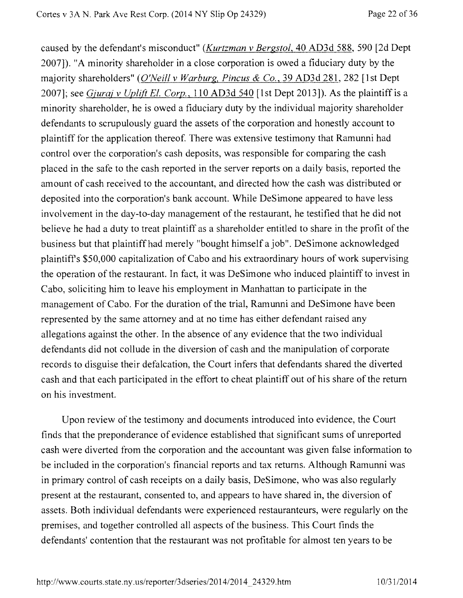caused by the defendant's misconduct" *(Kurtzman v Bergstol,* 40 AD3d 588, 590 [2d Dept 2007]). "A minority shareholder in a close corporation is owed a fiduciary duty by the majority shareholders" *(O'Neill v Warburg, Pincus & Co.,* 39 AD3d 281, 282 [1st Dept 2007]; see *Gjuraj v Uplift El. Corp., 110* AD3d 540 [1st Dept 2013]). As the plaintiff is a minority shareholder, he is owed a fiduciary duty by the individual majority shareholder defendants to scrupulously guard the assets of the corporation and honestly account to plaintiff for the application thereof. There was extensive testimony that Ramunni had control over the corporation's cash deposits, was responsible for comparing the cash placed in the safe to the cash reported in the server reports on a daily basis, reported the amount of cash received to the accountant, and directed how the cash was distributed or deposited into the corporation's bank account. While DeSimone appeared to have less involvement in the day-to-day management of the restaurant, he testified that he did not believe he had a duty to treat plaintiff as a shareholder entitled to share in the profit of the business but that plaintiff had merely "bought himself a job". DeSimone acknowledged plaintiff s \$50,000 capitalization of Cabo and his extraordinary hours of work supervising the operation of the restaurant. In fact, it was DeSimone who induced plaintiff to invest in Cabo, soliciting him to leave his employment in Manhattan to participate in the management of Cabo. For the duration of the trial, Ramunni and DeSimone have been represented by the same attorney and at no time has either defendant raised any allegations against the other. In the absence of any evidence that the two individual defendants did not collude in the diversion of cash and the manipulation of corporate records to disguise their defalcation, the Court infers that defendants shared the diverted cash and that each participated in the effort to cheat plaintiff out of his share of the return on his investment.

Upon review of the testimony and documents introduced into evidence, the Court finds that the preponderance of evidence established that significant sums of unreported cash were diverted from the corporation and the accountant was given false information to be included in the corporation's financial reports and tax returns. Although Ramunni was in primary control of cash receipts on a daily basis, DeSimone, who was also regularly present at the restaurant, consented to, and appears to have shared in, the diversion of assets. Both individual defendants were experienced restauranteurs, were regularly on the premises, and together controlled all aspects of the business. This Court finds the defendants' contention that the restaurant was not profitable for almost ten years to be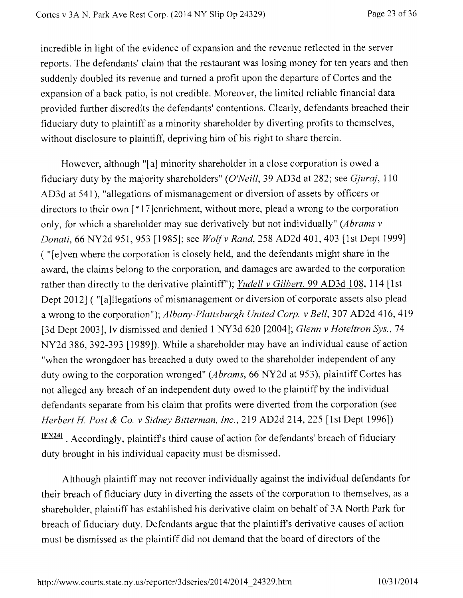incredible in light of the evidence of expansion and the revenue reflected in the server reports. The defendants' claim that the restaurant was losing money for ten years and then suddenly doubled its revenue and turned a profit upon the departure of Cortes and the expansion of a back patio, is not credible. Moreover, the limited reliable financial data provided further discredits the defendants' contentions. Clearly, defendants breached their fiduciary duty to plaintiff as a minority shareholder by diverting profits to themselves, without disclosure to plaintiff, depriving him of his right to share therein.

However, although "[a] minority shareholder in a close corporation is owed a fiduciary duty by the majority shareholders" *(O'Neill,* 39 AD3d at 282; see *Gjuraj,* 110 AD3d at 541), "allegations of mismanagement or diversion of assets by officers or directors to their own [\*17]enrichment, without more, plead a wrong to the corporation only, for which a shareholder may sue derivatively but not individually" *(Abrams v Donati,* 66 NY2d 951, 953 [1985]; see *Wolf v Rand,* 258 AD2d 401, 403 [1st Dept 1999] ( "[e]ven where the corporation is closely held, and the defendants might share in the award, the claims belong to the corporation, and damages are awarded to the corporation rather than directly to the derivative plaintiff'); *Yudell v Gilbert,* 99 AD3d 108, 114 [1st Dept 2012] ( "[a]llegations of mismanagement or diversion of corporate assets also plead a wrong to the corporation"); *Albany-Plattsburgh United Corp. v Bell,* 307 AD2d 416, 419 [3d Dept 2003], lv dismissed and denied 1 NY3d 620 [2004]; *Glenn v Hoteltron Sys.,* 74 NY2d 386, 392-393 [1989]). While a shareholder may have an individual cause of action "when the wrongdoer has breached a duty owed to the shareholder independent of any duty owing to the corporation wronged" *(Abrams,* 66 NY2d at 953), plaintiff Cortes has not alleged any breach of an independent duty owed to the plaintiff by the individual defendants separate from his claim that profits were diverted from the corporation (see *Herbert H. Post & Co. v Sidney Bitterman, Inc.,* 219 AD2d 214, 225 [1st Dept 1996]) IFN241. Accordingly, plaintiff's third cause of action for defendants' breach of fiduciary duty brought in his individual capacity must be dismissed.

Although plaintiff may not recover individually against the individual defendants for their breach of fiduciary duty in diverting the assets of the corporation to themselves, as a shareholder, plaintiff has established his derivative claim on behalf of 3A North Park for breach of fiduciary duty. Defendants argue that the plaintiffs derivative causes of action must be dismissed as the plaintiff did not demand that the board of directors of the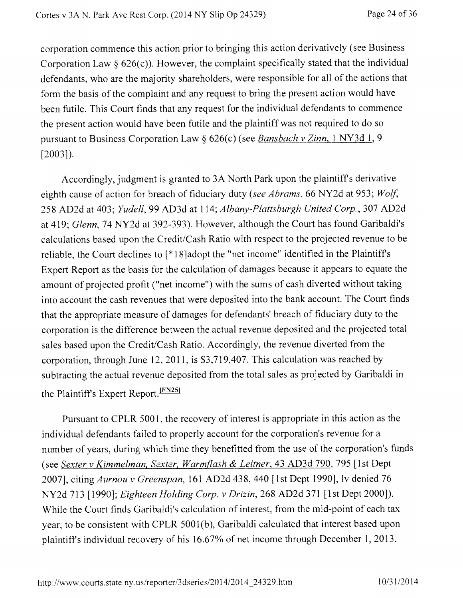corporation commence this action prior to bringing this action derivatively (see Business Corporation Law  $\S$  626(c)). However, the complaint specifically stated that the individual defendants, who are the majority shareholders, were responsible for all of the actions that form the basis of the complaint and any request to bring the present action would have been futile. This Court finds that any request for the individual defendants to commence the present action would have been futile and the plaintiff was not required to do so pursuant to Business Corporation Law § 626(c) (see *Bansbach v Zinn, 1* NY3d 1, 9 [2003]).

Accordingly, judgment is granted to 3A North Park upon the plaintiffs derivative eighth cause of action for breach of fiduciary duty *(see Abrams,* 66 NY2d at 953; *Wolf,*  258 AD2d at 403; *Yudell,* 99 AD3d at 114; *Albany-Plattsburgh United Corp.,* 307 AD2d at 419; *Glenn,* 74 NY2d at 392-393). However, although the Court has found Garibaldi's calculations based upon the Credit/Cash Ratio with respect to the projected revenue to be reliable, the Court declines to [\*18]adopt the "net income" identified in the Plaintiffs Expert Report as the basis for the calculation of damages because it appears to equate the amount of projected profit ("net income") with the sums of cash diverted without taking into account the cash revenues that were deposited into the bank account. The Court finds that the appropriate measure of damages for defendants' breach of fiduciary duty to the corporation is the difference between the actual revenue deposited and the projected total sales based upon the Credit/Cash Ratio. Accordingly, the revenue diverted from the corporation, through June 12, 2011, is \$3,719,407. This calculation was reached by subtracting the actual revenue deposited from the total sales as projected by Garibaldi in the Plaintiff's Expert Report. <sup>[FN25]</sup>

Pursuant to CPLR 5001, the recovery of interest is appropriate in this action as the individual defendants failed to properly account for the corporation's revenue for a number of years, during which time they benefitted from the use of the corporation's funds (see *Sexter v Kimmelman, Sexter, Warmflash & Leitner,* 43 AD3d 790, 795 [1st Dept 2007], citing *Aurnou v Greenspan,* 161 AD2d 438, 440 [1st Dept 1990], lv denied 76 N12d 713 [1990]; *Eighteen Holding Corp. v Drizin,* 268 AD2d 371 [1st Dept 2000]). While the Court finds Garibaldi's calculation of interest, from the mid-point of each tax year, to be consistent with CPLR 5001(b), Garibaldi calculated that interest based upon plaintiffs individual recovery of his 16.67% of net income through December 1, 2013.

http://www.courts.state.ny.us/reporter/3dseries/2014/2014\_24329.htm 10/31/2014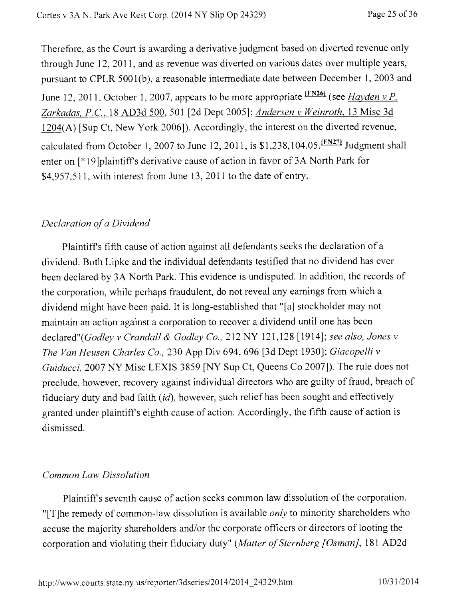Therefore, as the Court is awarding a derivative judgment based on diverted revenue only through June 12, 2011, and as revenue was diverted on various dates over multiple years, pursuant to CPLR 5001(b), a reasonable intermediate date between December 1, 2003 and June 12, 2011, October 1, 2007, appears to be more appropriate  $\frac{FN26I}{FN26I}$  (see *Hayden v P. Zarkadas, P.C.,* 18 AD3d 500, 501 [2d Dept 2005]; *Andersen v Weinroth,* 13 Misc 3d 1204(A) [Sup Ct, New York 2006]). Accordingly, the interest on the diverted revenue, calculated from October 1, 2007 to June 12, 2011, is  $$1,238,104.05$ . <sup>[FN27]</sup> Judgment shall enter on [\*19]plaintiffs derivative cause of action in favor of 3A North Park for \$4,957,511, with interest from June 13, 2011 to the date of entry.

## *Declaration of a Dividend*

Plaintiffs fifth cause of action against all defendants seeks the declaration of a dividend. Both Lipke and the individual defendants testified that no dividend has ever been declared by 3A North Park. This evidence is undisputed. In addition, the records of the corporation, while perhaps fraudulent, do not reveal any earnings from which a dividend might have been paid. It is long-established that "[a] stockholder may not maintain an action against a corporation to recover a dividend until one has been declared"(Godley *v Crandall & Godley Co.,* 212 NY 121,128 [1914]; *see also, Jones v The Van Heusen Charles Co.,* 230 App Div 694, 696 [3d Dept 1930]; *Giacopelli v Guiducci, 2007 NY Misc LEXIS 3859 [NY Sup Ct, Queens Co 2007]). The rule does not* preclude, however, recovery against individual directors who are guilty of fraud, breach of fiduciary duty and bad faith *(id),* however, such relief has been sought and effectively granted under plaintiffs eighth cause of action. Accordingly, the fifth cause of action is dismissed.

## *Common Law Dissolution*

Plaintiff s seventh cause of action seeks common law dissolution of the corporation. "[T]he remedy of common-law dissolution is available *only* to minority shareholders who accuse the majority shareholders and/or the corporate officers or directors of looting the corporation and violating their fiduciary duty" *(Matter of Sternberg [Osman],* 181 AD2d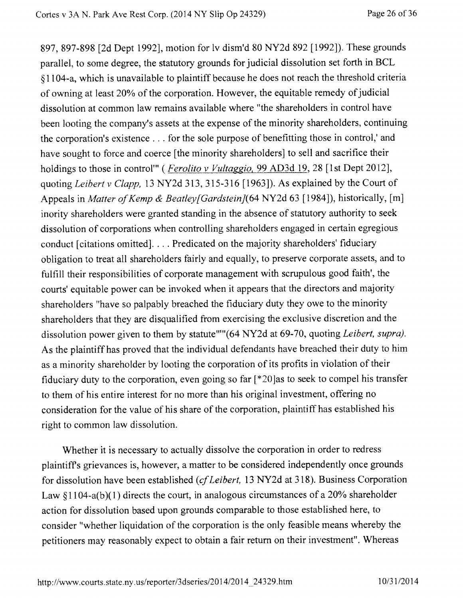897, 897-898 [2d Dept 1992], motion for lv dism'd 80 NY2d 892 [1992]). These grounds parallel, to some degree, the statutory grounds for judicial dissolution set forth in BCL §1104-a, which is unavailable to plaintiff because he does not reach the threshold criteria of owning at least 20% of the corporation. However, the equitable remedy of judicial dissolution at common law remains available where "the shareholders in control have been looting the company's assets at the expense of the minority shareholders, continuing the corporation's existence . . for the sole purpose of benefitting those in control,' and have sought to force and coerce [the minority shareholders] to sell and sacrifice their holdings to those in control<sup>"</sup> (*Ferolito v Vultaggio*, 99 AD3d 19, 28 [1st Dept 2012], quoting *Leibert v Clapp,* 13 NY2d 313, 315-316 [1963]). As explained by the Court of Appeals in *Matter of Kemp & Beatley[Gardstein]*(64 NY2d 63 [1984]), historically, [m] inority shareholders were granted standing in the absence of statutory authority to seek dissolution of corporations when controlling shareholders engaged in certain egregious conduct [citations omitted]. . . Predicated on the majority shareholders' fiduciary obligation to treat all shareholders fairly and equally, to preserve corporate assets, and to fulfill their responsibilities of corporate management with scrupulous good faith', the courts' equitable power can be invoked when it appears that the directors and majority shareholders "have so palpably breached the fiduciary duty they owe to the minority shareholders that they are disqualified from exercising the exclusive discretion and the dissolution power given to them by statute""(64 NY2d at 69-70, quoting *Leibert, supra)*. As the plaintiff has proved that the individual defendants have breached their duty to him as a minority shareholder by looting the corporation of its profits in violation of their fiduciary duty to the corporation, even going so far [\*20]as to seek to compel his transfer to them of his entire interest for no more than his original investment, offering no consideration for the value of his share of the corporation, plaintiff has established his right to common law dissolution.

Whether it is necessary to actually dissolve the corporation in order to redress plaintiffs grievances is, however, a matter to be considered independently once grounds for dissolution have been established *(cf Leibert,* 13 NY2d at 318). Business Corporation Law §1104-a(b)(1) directs the court, in analogous circumstances of a 20% shareholder action for dissolution based upon grounds comparable to those established here, to consider "whether liquidation of the corporation is the only feasible means whereby the petitioners may reasonably expect to obtain a fair return on their investment". Whereas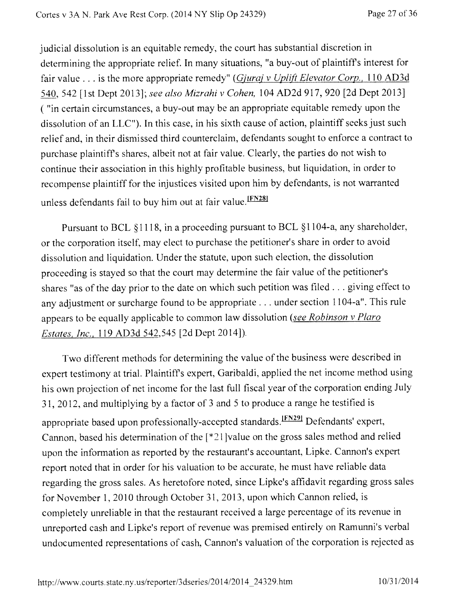judicial dissolution is an equitable remedy, the court has substantial discretion in determining the appropriate relief. In many situations, "a buy-out of plaintiffs interest for fair value . . . is the more appropriate remedy" *(Gjuraj v Uplift Elevator Corp.,* 110 AD3d 540, 542 [1st Dept 2013]; *see also Mizrahi v Cohen,* 104 AD2d 917, 920 [2d Dept 2013] ( "in certain circumstances, a buy-out may be an appropriate equitable remedy upon the dissolution of an LLC"). In this case, in his sixth cause of action, plaintiff seeks just such relief and, in their dismissed third counterclaim, defendants sought to enforce a contract to purchase plaintiffs shares, albeit not at fair value. Clearly, the parties do not wish to continue their association in this highly profitable business, but liquidation, in order to recompense plaintiff for the injustices visited upon him by defendants, is not warranted unless defendants fail to buy him out at fair value. FN281

Pursuant to BCL §1118, in a proceeding pursuant to BCL §1104-a, any shareholder, or the corporation itself, may elect to purchase the petitioner's share in order to avoid dissolution and liquidation. Under the statute, upon such election, the dissolution proceeding is stayed so that the court may determine the fair value of the petitioner's shares "as of the day prior to the date on which such petition was filed . . . giving effect to any adjustment or surcharge found to be appropriate . . . under section 1104-a". This rule appears to be equally applicable to common law dissolution *(see Robinson v Plaro Estates, Inc.,* 119 AD3d 542,545 [2d Dept 2014]).

Two different methods for determining the value of the business were described in expert testimony at trial. Plaintiffs expert, Garibaldi, applied the net income method using his own projection of net income for the last full fiscal year of the corporation ending July 31, 2012, and multiplying by a factor of 3 and 5 to produce a range he testified is appropriate based upon professionally-accepted standards.<sup>IFN291</sup> Defendants' expert, Cannon, based his determination of the [\*21]value on the gross sales method and relied upon the information as reported by the restaurant's accountant, Lipke. Cannon's expert report noted that in order for his valuation to be accurate, he must have reliable data regarding the gross sales. As heretofore noted, since Lipke's affidavit regarding gross sales for November 1, 2010 through October 31, 2013, upon which Cannon relied, is completely unreliable in that the restaurant received a large percentage of its revenue in unreported cash and Lipke's report of revenue was premised entirely on Ramunni's verbal undocumented representations of cash, Cannon's valuation of the corporation is rejected as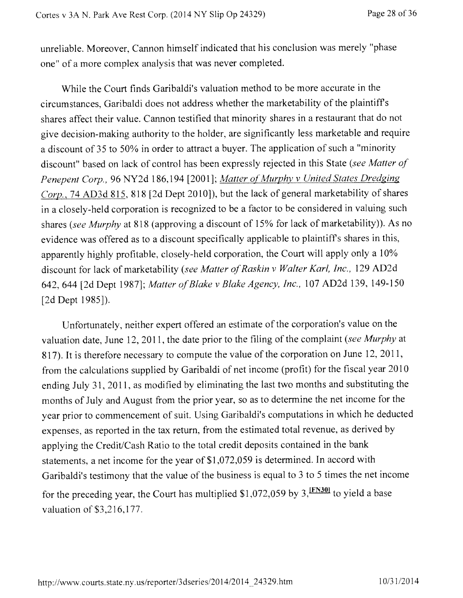unreliable. Moreover, Cannon himself indicated that his conclusion was merely "phase one" of a more complex analysis that was never completed.

While the Court finds Garibaldi's valuation method to be more accurate in the circumstances, Garibaldi does not address whether the marketability of the plaintiffs shares affect their value. Cannon testified that minority shares in a restaurant that do not give decision-making authority to the holder, are significantly less marketable and require a discount of 35 to 50% in order to attract a buyer. The application of such a "minority discount" based on lack of control has been expressly rejected in this State *(see Matter of Penepent Corp.,* 96 NY2d 186,194 [2001]; *Matter of Murphy v United States Dredging*  Corp., 74 AD3d 815, 818 [2d Dept 2010]), but the lack of general marketability of shares in a closely-held corporation is recognized to be a factor to be considered in valuing such shares *(see Murphy* at 818 (approving a discount of 15% for lack of marketability)). As no evidence was offered as to a discount specifically applicable to plaintiffs shares in this, apparently highly profitable, closely-held corporation, the Court will apply only a 10% discount for lack of marketability *(see Matter of Raskin v Walter Karl, Inc.,* 129 AD2d 642, 644 [2d Dept 1987]; *Matter of Blake v Blake Agency, Inc.,* 107 AD2d 139, 149-150 [2d Dept 1985]).

Unfortunately, neither expert offered an estimate of the corporation's value on the valuation date, June 12, 2011, the date prior to the filing of the complaint *(see Murphy* at 817). It is therefore necessary to compute the value of the corporation on June 12, 2011, from the calculations supplied by Garibaldi of net income (profit) for the fiscal year 2010 ending July 31, 2011, as modified by eliminating the last two months and substituting the months of July and August from the prior year, so as to determine the net income for the year prior to commencement of suit. Using Garibaldi's computations in which he deducted expenses, as reported in the tax return, from the estimated total revenue, as derived by applying the Credit/Cash Ratio to the total credit deposits contained in the bank statements, a net income for the year of \$1,072,059 is determined. In accord with Garibaldi's testimony that the value of the business is equal to 3 to 5 times the net income for the preceding year, the Court has multiplied  $$1,072,059$  by  $3,$   $\frac{[FN301]}{[FN301]}$  to yield a base valuation of \$3,216,177.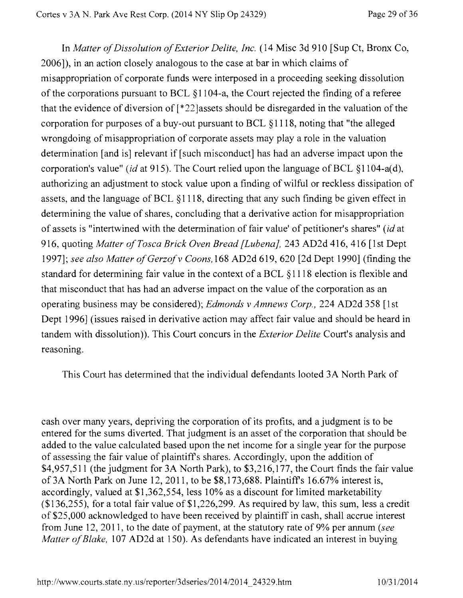In *Matter of Dissolution of Exterior Delite, Inc.* (14 Misc 3d 910 [Sup Ct, Bronx Co, 2006]), in an action closely analogous to the case at bar in which claims of misappropriation of corporate funds were interposed in a proceeding seeking dissolution of the corporations pursuant to BCL §1104-a, the Court rejected the finding of a referee that the evidence of diversion of [\*22}assets should be disregarded in the valuation of the corporation for purposes of a buy-out pursuant to BCL §1118, noting that "the alleged wrongdoing of misappropriation of corporate assets may play a role in the valuation determination [and is] relevant if [such misconduct] has had an adverse impact upon the corporation's value" *(id* at 915). The Court relied upon the language of BCL §1104-a(d), authorizing an adjustment to stock value upon a finding of wilful or reckless dissipation of assets, and the language of BCL §1118, directing that any such finding be given effect in determining the value of shares, concluding that a derivative action for misappropriation of assets is "intertwined with the determination of fair value' of petitioner's shares" *(id* at 916, quoting *Matter of Tosca Brick Oven Bread [Lubena],* 243 AD2d 416, 416 [1st Dept 1997]; *see also Matter of Gerzof v Coons,168* AD2d 619, 620 [2d Dept 1990] (finding the standard for determining fair value in the context of a BCL §1118 election is flexible and that misconduct that has had an adverse impact on the value of the corporation as an operating business may be considered); *Edmonds v Amnews Corp.,* 224 AD2d 358 [1st Dept 1996] (issues raised in derivative action may affect fair value and should be heard in tandem with dissolution)). This Court concurs in the *Exterior Delite* Court's analysis and reasoning.

This Court has determined that the individual defendants looted 3A North Park of

cash over many years, depriving the corporation of its profits, and a judgment is to be entered for the sums diverted. That judgment is an asset of the corporation that should be added to the value calculated based upon the net income for a single year for the purpose of assessing the fair value of plaintiffs shares. Accordingly, upon the addition of \$4,957,511 (the judgment for 3A North Park), to \$3,216,177, the Court finds the fair value of 3A North Park on June 12, 2011, to be \$8,173,688. Plaintiffs 16.67% interest is, accordingly, valued at \$1,362,554, less 10% as a discount for limited marketability (\$136,255), for a total fair value of \$1,226,299. As required by law, this sum, less a credit of \$25,000 acknowledged to have been received by plaintiff in cash, shall accrue interest from June 12, 2011, to the date of payment, at the statutory rate of 9% per annum *(see Matter of Blake,* 107 AD2d at 150). As defendants have indicated an interest in buying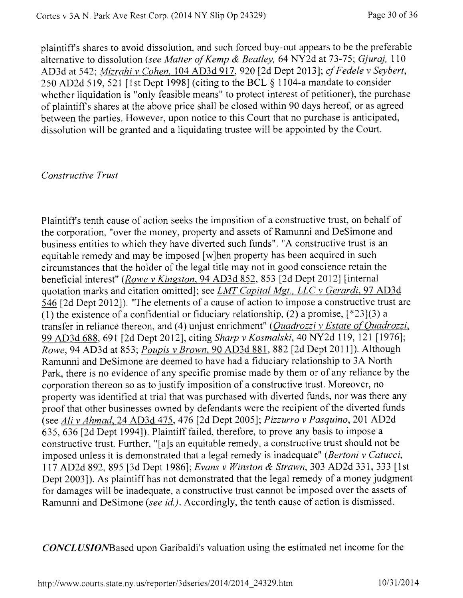plaintiffs shares to avoid dissolution, and such forced buy-out appears to be the preferable alternative to dissolution *(see Matter of Kemp & Beatley,* 64 NY2d at 73-75; *Gjuraj,* 110 AD3d at 542; *Mizrahi v Cohen,* 104 AD3d 917, 920 [2d Dept 2013]; *cf Fedele v Seybert,*  250 AD2d 519, 521 [1st Dept 1998] (citing to the BCL § 1104-a mandate to consider whether liquidation is "only feasible means" to protect interest of petitioner), the purchase of plaintiffs shares at the above price shall be closed within 90 days hereof, or as agreed between the parties. However, upon notice to this Court that no purchase is anticipated, dissolution will be granted and a liquidating trustee will be appointed by the Court.

#### *Constructive Trust*

Plaintiffs tenth cause of action seeks the imposition of a constructive trust, on behalf of the corporation, "over the money, property and assets of Ramunni and DeSimone and business entities to which they have diverted such funds". "A constructive trust is an equitable remedy and may be imposed [w]hen property has been acquired in such circumstances that the holder of the legal title may not in good conscience retain the beneficial interest" *(Rowe v Kingston,* 94 AD3d 852, 853 [2d Dept 2012] [internal quotation marks and citation omitted]; see *LMT Capital Mgt., LLC v Gerardi,* 97 AD3d 546 [2d Dept 2012]). "The elements of a cause of action to impose a constructive trust are (1) the existence of a confidential or fiduciary relationship, (2) a promise,  $[^*23](3)$  a transfer in reliance thereon, and (4) unjust enrichment" *(Quadrozzi v Estate of Quadrozzi,*  99 AD3d 688, 691 [2d Dept 2012], citing *Sharp v Kosmalski,* 40 NY2d 119, 121 [1976]; *Rowe,* 94 AD3d at 853; *Poupis v Brown,* 90 AD3d 881, 882 [2d Dept 2011]). Although Ramunni and DeSimone are deemed to have had a fiduciary relationship to 3A North Park, there is no evidence of any specific promise made by them or of any reliance by the corporation thereon so as to justify imposition of a constructive trust. Moreover, no property was identified at trial that was purchased with diverted funds, nor was there any proof that other businesses owned by defendants were the recipient of the diverted funds (see *Ali v Ahmad,* 24 AD3d 475, 476 [2d Dept 2005]; *Pizzurro v Pasquino,* 201 AD2d 635, 636 [2d Dept 1994]). Plaintiff failed, therefore, to prove any basis to impose a constructive trust. Further, "[a]s an equitable remedy, a constructive trust should not be imposed unless it is demonstrated that a legal remedy is inadequate" *(Bertoni v Catucci, 117* AD2d 892, 895 [3d Dept 1986]; *Evans v Winston & Strawn,* 303 AD2d 331, 333 [1st Dept 2003]). As plaintiff has not demonstrated that the legal remedy of a money judgment for damages will be inadequate, a constructive trust cannot be imposed over the assets of Ramunni and DeSimone *(see id.).* Accordingly, the tenth cause of action is dismissed.

*CONCLUSIONBased* upon Garibaldi's valuation using the estimated net income for the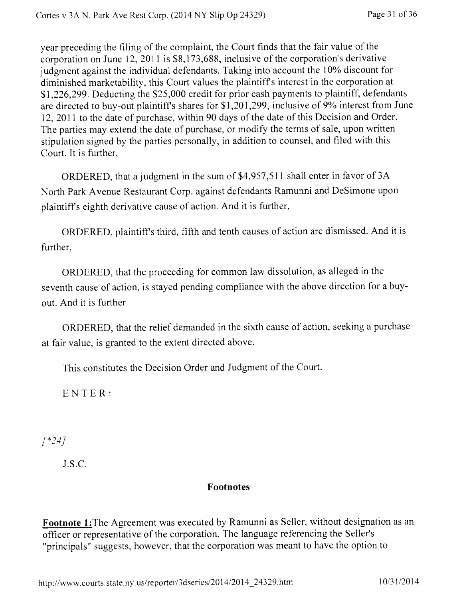year preceding the filing of the complaint, the Court finds that the fair value of the corporation on June 12, 2011 is \$8,173,688, inclusive of the corporation's derivative judgment against the individual defendants. Taking into account the 10% discount for diminished marketability, this Court values the plaintiffs interest in the corporation at \$1,226,299. Deducting the \$25,000 credit for prior cash payments to plaintiff, defendants are directed to buy-out plaintiffs shares for \$1,201,299, inclusive of 9% interest from June 12, 2011 to the date of purchase, within 90 days of the date of this Decision and Order. The parties may extend the date of purchase, or modify the terms of sale, upon written stipulation signed by the parties personally, in addition to counsel, and filed with this Court. It is further,

ORDERED, that a judgment in the sum of \$4,957,511 shall enter in favor of 3A North Park Avenue Restaurant Corp. against defendants Ramunni and DeSimone upon plaintiffs eighth derivative cause of action. And it is further,

ORDERED, plaintiffs third, fifth and tenth causes of action are dismissed. And it is further,

ORDERED, that the proceeding for common law dissolution, as alleged in the seventh cause of action, is stayed pending compliance with the above direction for a buyout. And it is further

ORDERED, that the relief demanded in the sixth cause of action, seeking a purchase at fair value, is granted to the extent directed above.

This constitutes the Decision Order and Judgment of the Court.

ENTER:

*[\*241* 

J.S.C.

## Footnotes

Footnote 1:The Agreement was executed by Ramunni as Seller, without designation as an officer or representative of the corporation. The language referencing the Seller's "principals" suggests, however, that the corporation was meant to have the option to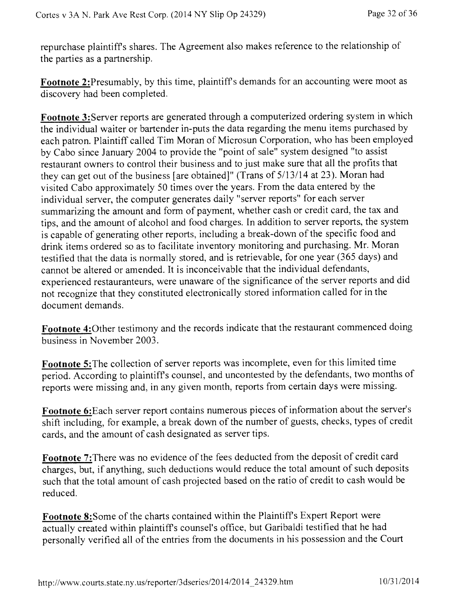repurchase plaintiffs shares. The Agreement also makes reference to the relationship of the parties as a partnership.

**Footnote** 2:Presumably, by this time, plaintiffs demands for an accounting were moot as discovery had been completed.

**Footnote 3:Server** reports are generated through a computerized ordering system in which the individual waiter or bartender in-puts the data regarding the menu items purchased by each patron. Plaintiff called Tim Moran of Microsun Corporation, who has been employed by Cabo since January 2004 to provide the "point of sale" system designed "to assist restaurant owners to control their business and to just make sure that all the profits that they can get out of the business [are obtained]" (Trans of 5/13/14 at 23). Moran had visited Cabo approximately 50 times over the years. From the data entered by the individual server, the computer generates daily "server reports" for each server summarizing the amount and form of payment, whether cash or credit card, the tax and tips, and the amount of alcohol and food charges. In addition to server reports, the system is capable of generating other reports, including a break-down of the specific food and drink items ordered so as to facilitate inventory monitoring and purchasing. Mr. Moran testified that the data is normally stored, and is retrievable, for one year (365 days) and cannot be altered or amended. It is inconceivable that the individual defendants, experienced restauranteurs, were unaware of the significance of the server reports and did not recognize that they constituted electronically stored information called for in the document demands.

**Footnote** 4:0ther testimony and the records indicate that the restaurant commenced doing business in November 2003.

**Footnote 5:The** collection of server reports was incomplete, even for this limited time period. According to plaintiffs counsel, and uncontested by the defendants, two months of reports were missing and, in any given month, reports from certain days were missing.

**Footnote** 6:Each server report contains numerous pieces of information about the server's shift including, for example, a break down of the number of guests, checks, types of credit cards, and the amount of cash designated as server tips.

**Footnote** 7:There was no evidence of the fees deducted from the deposit of credit card charges, but, if anything, such deductions would reduce the total amount of such deposits such that the total amount of cash projected based on the ratio of credit to cash would be reduced.

**Footnote** 8:Some of the charts contained within the Plaintiffs Expert Report were actually created within plaintiffs counsel's office, but Garibaldi testified that he had personally verified all of the entries from the documents in his possession and the Court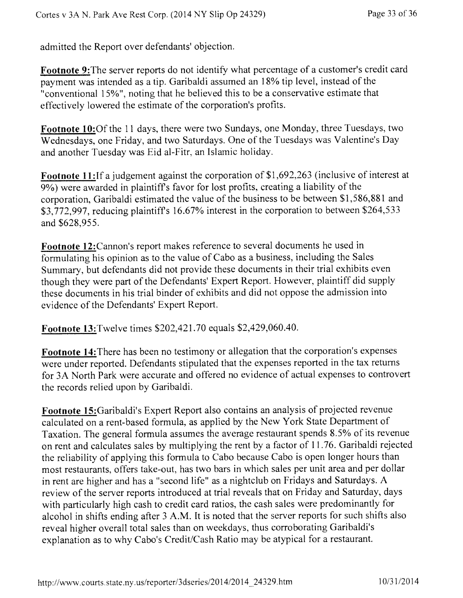admitted the Report over defendants' objection.

**Footnote** 9:The server reports do not identify what percentage of a customer's credit card payment was intended as a tip. Garibaldi assumed an 18% tip level, instead of the "conventional 15%", noting that he believed this to be a conservative estimate that effectively lowered the estimate of the corporation's profits.

Footnote 10:Of the 11 days, there were two Sundays, one Monday, three Tuesdays, two Wednesdays, one Friday, and two Saturdays. One of the Tuesdays was Valentine's Day and another Tuesday was Eid al-Fitr, an Islamic holiday.

Footnote 11: If a judgement against the corporation of \$1,692,263 (inclusive of interest at 9%) were awarded in plaintiffs favor for lost profits, creating a liability of the corporation, Garibaldi estimated the value of the business to be between \$1,586,881 and \$3,772,997, reducing plaintiff's 16.67% interest in the corporation to between \$264,533 and \$628,955.

**Footnote** 12:Cannon's report makes reference to several documents he used in formulating his opinion as to the value of Cabo as a business, including the Sales Summary, but defendants did not provide these documents in their trial exhibits even though they were part of the Defendants' Expert Report. However, plaintiff did supply these documents in his trial binder of exhibits and did not oppose the admission into evidence of the Defendants' Expert Report.

**Footnote 13:Twelve** times \$202,421.70 equals \$2,429,060.40.

**Footnote 14:There** has been no testimony or allegation that the corporation's expenses were under reported. Defendants stipulated that the expenses reported in the tax returns for 3A North Park were accurate and offered no evidence of actual expenses to controvert the records relied upon by Garibaldi.

**Footnote** 15:Garibaldi's Expert Report also contains an analysis of projected revenue calculated on a rent-based formula, as applied by the New York State Department of Taxation. The general formula assumes the average restaurant spends 8.5% of its revenue on rent and calculates sales by multiplying the rent by a factor of 11.76. Garibaldi rejected the reliability of applying this formula to Cabo because Cabo is open longer hours than most restaurants, offers take-out, has two bars in which sales per unit area and per dollar in rent are higher and has a "second life" as a nightclub on Fridays and Saturdays. A review of the server reports introduced at trial reveals that on Friday and Saturday, days with particularly high cash to credit card ratios, the cash sales were predominantly for alcohol in shifts ending after 3 A.M. It is noted that the server reports for such shifts also reveal higher overall total sales than on weekdays, thus corroborating Garibaldi's explanation as to why Cabo's Credit/Cash Ratio may be atypical for a restaurant.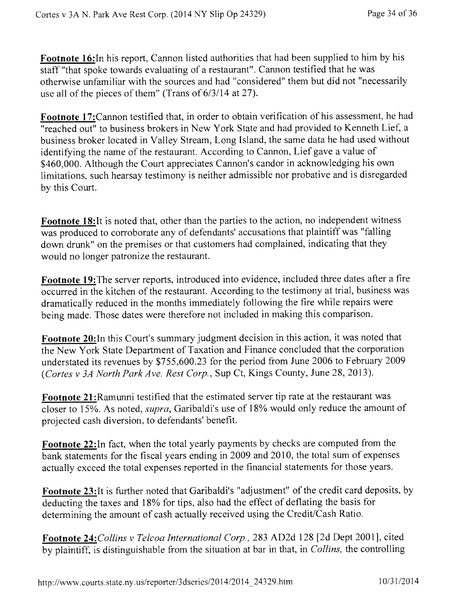**Footnote 16:**In his report, Cannon listed authorities that had been supplied to him by his staff "that spoke towards evaluating of a restaurant". Cannon testified that he was otherwise unfamiliar with the sources and had "considered" them but did not "necessarily use all of the pieces of them" (Trans of 6/3/14 at 27).

**Footnote 17:Cannon** testified that, in order to obtain verification of his assessment, he had "reached out" to business brokers in New York State and had provided to Kenneth Lief, a business broker located in Valley Stream, Long Island, the same data he had used without identifying the name of the restaurant. According to Cannon, Lief gave a value of \$460,000. Although the Court appreciates Cannon's candor in acknowledging his own limitations, such hearsay testimony is neither admissible nor probative and is disregarded by this Court.

**Footnote 18:It** is noted that, other than the parties to the action, no independent witness was produced to corroborate any of defendants' accusations that plaintiff was "falling down drunk" on the premises or that customers had complained, indicating that they would no longer patronize the restaurant.

**Footnote 19:The** server reports, introduced into evidence, included three dates after a fire occurred in the kitchen of the restaurant. According to the testimony at trial, business was dramatically reduced in the months immediately following the fire while repairs were being made. Those dates were therefore not included in making this comparison.

**Footnote 20:In** this Court's summary judgment decision in this action, it was noted that the New York State Department of Taxation and Finance concluded that the corporation understated its revenues by \$755,600.23 for the period from June 2006 to February 2009 *(Cortes v 3A North Park Ave. Rest Corp.,* Sup Ct, Kings County, June 28, 2013).

**Footnote** 21:Ramunni testified that the estimated server tip rate at the restaurant was closer to 15%. As noted, *supra,* Garibaldi's use of 18% would only reduce the amount of projected cash diversion, to defendants' benefit.

**Footnote 22:In** fact, when the total yearly payments by checks are computed from the bank statements for the fiscal years ending in 2009 and 2010, the total sum of expenses actually exceed the total expenses reported in the financial statements for those years.

**Footnote 23:It** is further noted that Garibaldi's "adjustment" of the credit card deposits, by deducting the taxes and 18% for tips, also had the effect of deflating the basis for determining the amount of cash actually received using the Credit/Cash Ratio,

**Footnote** *24:Collins v Telcoa International Corp.,* 283 AD2d 128 [2d Dept 2001], cited by plaintiff, is distinguishable from the situation at bar in that, in *Collins,* the controlling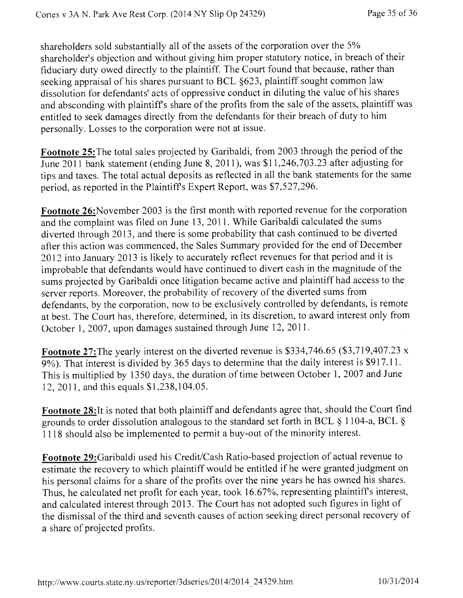shareholders sold substantially all of the assets of the corporation over the 5% shareholder's objection and without giving him proper statutory notice, in breach of their fiduciary duty owed directly to the plaintiff. The Court found that because, rather than seeking appraisal of his shares pursuant to BCL §623, plaintiff sought common law dissolution for defendants' acts of oppressive conduct in diluting the value of his shares and absconding with plaintiffs share of the profits from the sale of the assets, plaintiff was entitled to seek damages directly from the defendants for their breach of duty to him personally. Losses to the corporation were not at issue.

**Footnote 25:The** total sales projected by Garibaldi, from 2003 through the period of the June 2011 bank statement (ending June 8, 2011), was \$11,246,703.23 after adjusting for tips and taxes. The total actual deposits as reflected in all the bank statements for the same period, as reported in the Plaintiffs Expert Report, was \$7,527,296.

**Footnote** 26:November 2003 is the first month with reported revenue for the corporation and the complaint was filed on June 13, 2011. While Garibaldi calculated the sums diverted through 2013, and there is some probability that cash continued to be diverted after this action was commenced, the Sales Summary provided for the end of December 2012 into January 2013 is likely to accurately reflect revenues for that period and it is improbable that defendants would have continued to divert cash in the magnitude of the sums projected by Garibaldi once litigation became active and plaintiff had access to the server reports. Moreover, the probability of recovery of the diverted sums from defendants, by the corporation, now to be exclusively controlled by defendants, is remote at best. The Court has, therefore, determined, in its discretion, to award interest only from October 1, 2007, upon damages sustained through June 12, 2011.

**Footnote 27:The** yearly interest on the diverted revenue is \$334,746.65 (\$3,719,407.23 x 9%). That interest is divided by 365 days to determine that the daily interest is \$917.11. This is multiplied by 1350 days, the duration of time between October 1, 2007 and June 12, 2011, and this equals \$1,238,104.05.

Footnote 28:It is noted that both plaintiff and defendants agree that, should the Court find grounds to order dissolution analogous to the standard set forth in BCL § 1104-a, BCL § 1118 should also be implemented to permit a buy-out of the minority interest.

**Footnote** 29:Garibaldi used his Credit/Cash Ratio-based projection of actual revenue to estimate the recovery to which plaintiff would be entitled if he were granted judgment on his personal claims for a share of the profits over the nine years he has owned his shares. Thus, he calculated net profit for each year, took 16.67%, representing plaintiffs interest, and calculated interest through 2013. The Court has not adopted such figures in light of the dismissal of the third and seventh causes of action seeking direct personal recovery of a share of projected profits.